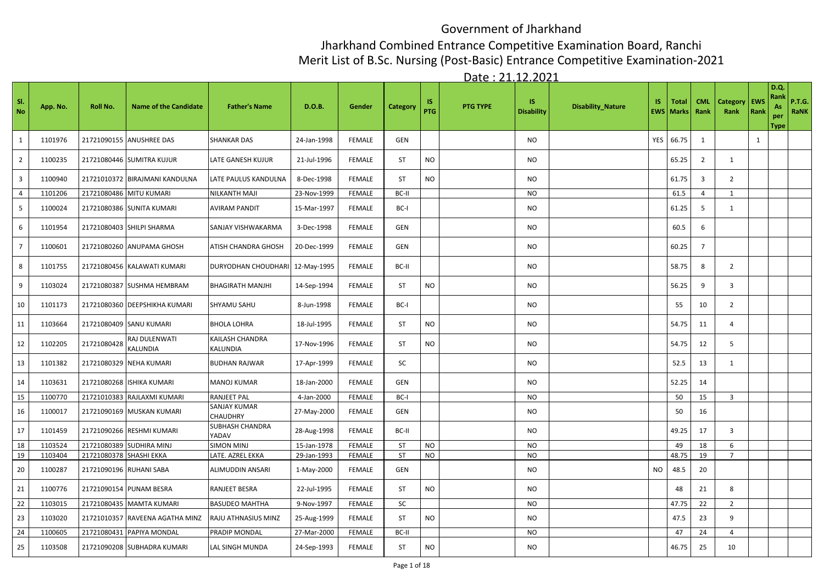## Government of Jharkhand

## Jharkhand Combined Entrance Competitive Examination Board, Ranchi

Merit List of B.Sc. Nursing (Post-Basic) Entrance Competitive Examination-2021

Date : 21.12.2021

| SI.<br><b>No</b>        | App. No. | Roll No.                | <b>Name of the Candidate</b>   | <b>Father's Name</b>            | D.O.B.      | Gender        | Category  | IS.<br><b>PTG</b> | <b>PTG TYPE</b> | IS.<br><b>Disability</b> | <b>Disability_Nature</b> | IS. | <b>Total</b><br><b>EWS</b> Marks | <b>CML</b><br>Rank | <b>Category</b><br>Rank | EWS<br>Rank  | D.Q.<br>Rank<br>As<br>per<br><b>Type</b> | <b>P.T.G.</b><br>RaNK |
|-------------------------|----------|-------------------------|--------------------------------|---------------------------------|-------------|---------------|-----------|-------------------|-----------------|--------------------------|--------------------------|-----|----------------------------------|--------------------|-------------------------|--------------|------------------------------------------|-----------------------|
| $\mathbf{1}$            | 1101976  | 21721090155             | <b>ANUSHREE DAS</b>            | <b>SHANKAR DAS</b>              | 24-Jan-1998 | <b>FEMALE</b> | GEN       |                   |                 | <b>NO</b>                |                          | YES | 66.75                            | 1                  |                         | $\mathbf{1}$ |                                          |                       |
| $\overline{2}$          | 1100235  |                         | 21721080446 SUMITRA KUJUR      | LATE GANESH KUJUR               | 21-Jul-1996 | <b>FEMALE</b> | ST        | <b>NO</b>         |                 | NO                       |                          |     | 65.25                            | $\overline{2}$     | 1                       |              |                                          |                       |
| $\overline{\mathbf{3}}$ | 1100940  |                         | 21721010372 BIRAJMANI KANDULNA | LATE PAULUS KANDULNA            | 8-Dec-1998  | <b>FEMALE</b> | ST        | NO                |                 | <b>NO</b>                |                          |     | 61.75                            | $\overline{3}$     | 2                       |              |                                          |                       |
| $\overline{4}$          | 1101206  | 21721080486             | <b>MITU KUMARI</b>             | NILKANTH MAJI                   | 23-Nov-1999 | <b>FEMALE</b> | BC-II     |                   |                 | <b>NO</b>                |                          |     | 61.5                             | $\overline{4}$     | 1                       |              |                                          |                       |
| $\overline{\mathbf{5}}$ | 1100024  |                         | 21721080386 SUNITA KUMARI      | <b>AVIRAM PANDIT</b>            | 15-Mar-1997 | <b>FEMALE</b> | BC-I      |                   |                 | <b>NO</b>                |                          |     | 61.25                            | 5                  | $\mathbf{1}$            |              |                                          |                       |
| 6                       | 1101954  |                         | 21721080403 SHILPI SHARMA      | SANJAY VISHWAKARMA              | 3-Dec-1998  | <b>FEMALE</b> | GEN       |                   |                 | <b>NO</b>                |                          |     | 60.5                             | 6                  |                         |              |                                          |                       |
| $\overline{7}$          | 1100601  |                         | 21721080260 ANUPAMA GHOSH      | ATISH CHANDRA GHOSH             | 20-Dec-1999 | <b>FEMALE</b> | GEN       |                   |                 | <b>NO</b>                |                          |     | 60.25                            | $\overline{7}$     |                         |              |                                          |                       |
| 8                       | 1101755  | 21721080456             | KALAWATI KUMARI                | DURYODHAN CHOUDHARI             | 12-May-1995 | <b>FEMALE</b> | BC-II     |                   |                 | <b>NO</b>                |                          |     | 58.75                            | 8                  | $\overline{2}$          |              |                                          |                       |
| 9                       | 1103024  | 21721080387             | <b>SUSHMA HEMBRAM</b>          | <b>BHAGIRATH MANJHI</b>         | 14-Sep-1994 | <b>FEMALE</b> | ST        | <b>NO</b>         |                 | <b>NO</b>                |                          |     | 56.25                            | 9                  | $\overline{3}$          |              |                                          |                       |
| 10                      | 1101173  | 21721080360             | <b>DEEPSHIKHA KUMARI</b>       | <b>SHYAMU SAHU</b>              | 8-Jun-1998  | FEMALE        | BC-I      |                   |                 | <b>NO</b>                |                          |     | 55                               | 10                 | $\overline{2}$          |              |                                          |                       |
| 11                      | 1103664  |                         | 21721080409 SANU KUMARI        | <b>BHOLA LOHRA</b>              | 18-Jul-1995 | <b>FEMALE</b> | <b>ST</b> | <b>NO</b>         |                 | NO                       |                          |     | 54.75                            | 11                 | 4                       |              |                                          |                       |
| 12                      | 1102205  | 21721080428             | RAJ DULENWATI<br>KALUNDIA      | KAILASH CHANDRA<br>KALUNDIA     | 17-Nov-1996 | <b>FEMALE</b> | <b>ST</b> | <b>NO</b>         |                 | NO                       |                          |     | 54.75                            | 12                 | 5                       |              |                                          |                       |
| 13                      | 1101382  | 21721080329             | <b>NEHA KUMARI</b>             | <b>BUDHAN RAJWAR</b>            | 17-Apr-1999 | <b>FEMALE</b> | SC        |                   |                 | NO                       |                          |     | 52.5                             | 13                 | $\mathbf{1}$            |              |                                          |                       |
| 14                      | 1103631  | 21721080268             | <b>ISHIKA KUMARI</b>           | MANOJ KUMAR                     | 18-Jan-2000 | <b>FEMALE</b> | GEN       |                   |                 | NO                       |                          |     | 52.25                            | 14                 |                         |              |                                          |                       |
| 15                      | 1100770  | 21721010383             | RAJLAXMI KUMARI                | RANJEET PAL                     | 4-Jan-2000  | <b>FEMALE</b> | BC-I      |                   |                 | <b>NO</b>                |                          |     | 50                               | 15                 | 3                       |              |                                          |                       |
| 16                      | 1100017  | 21721090169             | <b>MUSKAN KUMARI</b>           | SANJAY KUMAR<br>CHAUDHRY        | 27-May-2000 | <b>FEMALE</b> | GEN       |                   |                 | <b>NO</b>                |                          |     | 50                               | 16                 |                         |              |                                          |                       |
| 17                      | 1101459  | 21721090266             | <b>RESHMI KUMARI</b>           | <b>SUBHASH CHANDRA</b><br>YADAV | 28-Aug-1998 | <b>FEMALE</b> | BC-II     |                   |                 | <b>NO</b>                |                          |     | 49.25                            | 17                 | $\overline{3}$          |              |                                          |                       |
| 18                      | 1103524  | 21721080389             | <b>SUDHIRA MINJ</b>            | <b>SIMON MINJ</b>               | 15-Jan-1978 | FEMALE        | ST        | <b>NO</b>         |                 | NO                       |                          |     | 49                               | 18                 | 6                       |              |                                          |                       |
| 19                      | 1103404  | 21721080378 SHASHI EKKA |                                | LATE. AZREL EKKA                | 29-Jan-1993 | FEMALE        | <b>ST</b> | <b>NO</b>         |                 | <b>NO</b>                |                          |     | 48.75                            | 19                 | $\overline{7}$          |              |                                          |                       |
| 20                      | 1100287  | 21721090196             | <b>RUHANI SABA</b>             | ALIMUDDIN ANSARI                | 1-May-2000  | FEMALE        | GEN       |                   |                 | <b>NO</b>                |                          | NO. | 48.5                             | 20                 |                         |              |                                          |                       |
| 21                      | 1100776  | 21721090154             | <b>PUNAM BESRA</b>             | RANJEET BESRA                   | 22-Jul-1995 | FEMALE        | <b>ST</b> | <b>NO</b>         |                 | <b>NO</b>                |                          |     | 48                               | 21                 | 8                       |              |                                          |                       |
| $\overline{22}$         | 1103015  | 21721080435             | <b>MAMTA KUMARI</b>            | <b>BASUDEO MAHTHA</b>           | 9-Nov-1997  | <b>FEMALE</b> | SC        |                   |                 | <b>NO</b>                |                          |     | 47.75                            | 22                 | $\overline{2}$          |              |                                          |                       |
| 23                      | 1103020  | 21721010357             | RAVEENA AGATHA MINZ            | RAJU ATHNASIUS MINZ             | 25-Aug-1999 | FEMALE        | <b>ST</b> | <b>NO</b>         |                 | NO                       |                          |     | 47.5                             | 23                 | 9                       |              |                                          |                       |
| 24                      | 1100605  | 21721080431             | PAPIYA MONDAL                  | PRADIP MONDAL                   | 27-Mar-2000 | <b>FEMALE</b> | BC-II     |                   |                 | <b>NO</b>                |                          |     | 47                               | 24                 | $\overline{4}$          |              |                                          |                       |
| 25                      | 1103508  |                         | 21721090208 SUBHADRA KUMARI    | LAL SINGH MUNDA                 | 24-Sep-1993 | <b>FEMALE</b> | ST        | NO                |                 | NO                       |                          |     | 46.75                            | 25                 | 10                      |              |                                          |                       |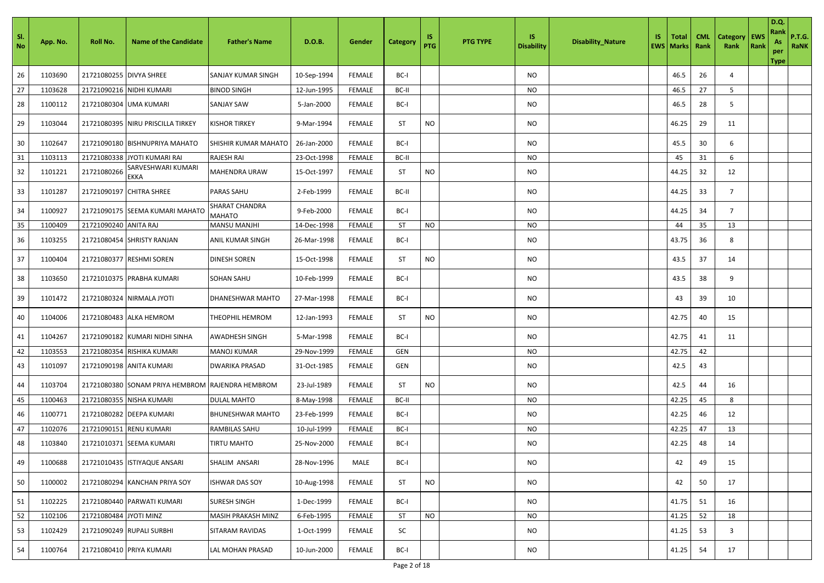| - SI.<br>No | App. No. | <b>Roll No.</b>         | <b>Name of the Candidate</b>      | <b>Father's Name</b>            | D.O.B.      | Gender        | Category  | IS.<br>PTG | <b>PTG TYPE</b> | IS.<br><b>Disability</b> | <b>Disability_Nature</b> | IS. | <b>Total</b><br><b>EWS   Marks</b> | <b>CML</b><br>Rank | <b>Category</b><br>Rank | <b>EWS</b><br>Rank | <b>D.Q.</b><br>Rank<br>As<br>per<br>Type | <b>P.T.G.</b><br>RaNK |
|-------------|----------|-------------------------|-----------------------------------|---------------------------------|-------------|---------------|-----------|------------|-----------------|--------------------------|--------------------------|-----|------------------------------------|--------------------|-------------------------|--------------------|------------------------------------------|-----------------------|
| 26          | 1103690  | 21721080255 DIVYA SHREE |                                   | SANJAY KUMAR SINGH              | 10-Sep-1994 | <b>FEMALE</b> | BC-I      |            |                 | NO.                      |                          |     | 46.5                               | 26                 | 4                       |                    |                                          |                       |
| 27          | 1103628  |                         | 21721090216 NIDHI KUMARI          | <b>BINOD SINGH</b>              | 12-Jun-1995 | FEMALE        | BC-II     |            |                 | NO                       |                          |     | 46.5                               | 27                 | 5                       |                    |                                          |                       |
| 28          | 1100112  | 21721080304             | <b>UMA KUMARI</b>                 | <b>SANJAY SAW</b>               | 5-Jan-2000  | <b>FEMALE</b> | BC-I      |            |                 | NO                       |                          |     | 46.5                               | 28                 | 5                       |                    |                                          |                       |
| 29          | 1103044  |                         | 21721080395 NIRU PRISCILLA TIRKEY | <b>KISHOR TIRKEY</b>            | 9-Mar-1994  | <b>FEMALE</b> | ST        | <b>NO</b>  |                 | NO.                      |                          |     | 46.25                              | 29                 | 11                      |                    |                                          |                       |
| 30          | 1102647  |                         | 21721090180 BISHNUPRIYA MAHATO    | SHISHIR KUMAR MAHATO            | 26-Jan-2000 | <b>FEMALE</b> | BC-I      |            |                 | NO.                      |                          |     | 45.5                               | 30                 | 6                       |                    |                                          |                       |
| 31          | 1103113  |                         | 21721080338 JYOTI KUMARI RAI      | <b>RAJESH RAI</b>               | 23-Oct-1998 | <b>FEMALE</b> | BC-II     |            |                 | NO.                      |                          |     | 45                                 | 31                 | 6                       |                    |                                          |                       |
| 32          | 1101221  | 21721080266             | SARVESHWARI KUMARI<br><b>EKKA</b> | MAHENDRA URAW                   | 15-Oct-1997 | <b>FEMALE</b> | ST        | NO         |                 | NO                       |                          |     | 44.25                              | 32                 | 12                      |                    |                                          |                       |
| 33          | 1101287  |                         | 21721090197 CHITRA SHREE          | PARAS SAHU                      | 2-Feb-1999  | <b>FEMALE</b> | BC-II     |            |                 | NO                       |                          |     | 44.25                              | 33                 | $\overline{7}$          |                    |                                          |                       |
| 34          | 1100927  |                         | 21721090175 SEEMA KUMARI MAHATO   | SHARAT CHANDRA<br><b>MAHATO</b> | 9-Feb-2000  | <b>FEMALE</b> | BC-I      |            |                 | NO                       |                          |     | 44.25                              | 34                 | $\overline{7}$          |                    |                                          |                       |
| 35          | 1100409  | 21721090240 ANITA RAJ   |                                   | <b>MANSU MANJHI</b>             | 14-Dec-1998 | <b>FEMALE</b> | <b>ST</b> | <b>NO</b>  |                 | NO                       |                          |     | 44                                 | 35                 | 13                      |                    |                                          |                       |
| 36          | 1103255  |                         | 21721080454 SHRISTY RANJAN        | ANIL KUMAR SINGH                | 26-Mar-1998 | <b>FEMALE</b> | BC-I      |            |                 | NO                       |                          |     | 43.75                              | 36                 | 8                       |                    |                                          |                       |
| 37          | 1100404  |                         | 21721080377 RESHMI SOREN          | DINESH SOREN                    | 15-Oct-1998 | <b>FEMALE</b> | ST        | NO         |                 | NO                       |                          |     | 43.5                               | 37                 | 14                      |                    |                                          |                       |
| 38          | 1103650  |                         | 21721010375 PRABHA KUMARI         | <b>SOHAN SAHU</b>               | 10-Feb-1999 | <b>FEMALE</b> | BC-I      |            |                 | NO                       |                          |     | 43.5                               | 38                 | 9                       |                    |                                          |                       |
| 39          | 1101472  |                         | 21721080324 NIRMALA JYOTI         | <b>DHANESHWAR MAHTO</b>         | 27-Mar-1998 | <b>FEMALE</b> | BC-I      |            |                 | NO                       |                          |     | 43                                 | 39                 | 10                      |                    |                                          |                       |
| 40          | 1104006  |                         | 21721080483 ALKA HEMROM           | <b>THEOPHIL HEMROM</b>          | 12-Jan-1993 | <b>FEMALE</b> | ST        | <b>NO</b>  |                 | NO                       |                          |     | 42.75                              | 40                 | 15                      |                    |                                          |                       |
| 41          | 1104267  |                         | 21721090182 KUMARI NIDHI SINHA    | AWADHESH SINGH                  | 5-Mar-1998  | <b>FEMALE</b> | BC-I      |            |                 | NO                       |                          |     | 42.75                              | 41                 | 11                      |                    |                                          |                       |
| 42          | 1103553  |                         | 21721080354 RISHIKA KUMARI        | <b>MANOJ KUMAR</b>              | 29-Nov-1999 | <b>FEMALE</b> | GEN       |            |                 | <b>NO</b>                |                          |     | 42.75                              | 42                 |                         |                    |                                          |                       |
| 43          | 1101097  |                         | 21721090198 ANITA KUMARI          | <b>DWARIKA PRASAD</b>           | 31-Oct-1985 | <b>FEMALE</b> | GEN       |            |                 | NO                       |                          |     | 42.5                               | 43                 |                         |                    |                                          |                       |
| 44          | 1103704  |                         | 21721080380 SONAM PRIYA HEMBROM   | <b>RAJENDRA HEMBROM</b>         | 23-Jul-1989 | <b>FEMALE</b> | ST        | NO         |                 | NO                       |                          |     | 42.5                               | 44                 | 16                      |                    |                                          |                       |
| 45          | 1100463  |                         | 21721080355 NISHA KUMARI          | <b>DULAL MAHTO</b>              | 8-May-1998  | <b>FEMALE</b> | BC-II     |            |                 | NO                       |                          |     | 42.25                              | 45                 | 8                       |                    |                                          |                       |
| 46          | 1100771  |                         | 21721080282 DEEPA KUMARI          | <b>BHUNESHWAR MAHTO</b>         | 23-Feb-1999 | <b>FEMALE</b> | BC-I      |            |                 | NO                       |                          |     | 42.25                              | 46                 | 12                      |                    |                                          |                       |
| 47          | 1102076  |                         | 21721090151 RENU KUMARI           | <b>RAMBILAS SAHU</b>            | 10-Jul-1999 | <b>FEMALE</b> | BC-I      |            |                 | NO                       |                          |     | 42.25                              | 47                 | 13                      |                    |                                          |                       |
| 48          | 1103840  |                         | 21721010371 SEEMA KUMARI          | TIRTU MAHTO                     | 25-Nov-2000 | <b>FEMALE</b> | BC-I      |            |                 | NO                       |                          |     | 42.25                              | 48                 | 14                      |                    |                                          |                       |
| 49          | 1100688  |                         | 21721010435 ISTIYAQUE ANSARI      | SHALIM ANSARI                   | 28-Nov-1996 | MALE          | BC-I      |            |                 | <b>NO</b>                |                          |     | 42                                 | 49                 | 15                      |                    |                                          |                       |
| 50          | 1100002  |                         | 21721080294 KANCHAN PRIYA SOY     | <b>ISHWAR DAS SOY</b>           | 10-Aug-1998 | <b>FEMALE</b> | <b>ST</b> | <b>NO</b>  |                 | <b>NO</b>                |                          |     | 42                                 | 50                 | 17                      |                    |                                          |                       |
| 51          | 1102225  |                         | 21721080440 PARWATI KUMARI        | <b>SURESH SINGH</b>             | 1-Dec-1999  | <b>FEMALE</b> | BC-I      |            |                 | NO                       |                          |     | 41.75                              | 51                 | 16                      |                    |                                          |                       |
| 52          | 1102106  | 21721080484 JYOTI MINZ  |                                   | MASIH PRAKASH MINZ              | 6-Feb-1995  | <b>FEMALE</b> | <b>ST</b> | <b>NO</b>  |                 | NO                       |                          |     | 41.25                              | 52                 | 18                      |                    |                                          |                       |
| 53          | 1102429  |                         | 21721090249 RUPALI SURBHI         | SITARAM RAVIDAS                 | 1-Oct-1999  | FEMALE        | SC        |            |                 | NO                       |                          |     | 41.25                              | 53                 | $\mathbf{3}$            |                    |                                          |                       |
| 54          | 1100764  |                         | 21721080410 PRIYA KUMARI          | LAL MOHAN PRASAD                | 10-Jun-2000 | FEMALE        | BC-I      |            |                 | <b>NO</b>                |                          |     | 41.25                              | 54                 | 17                      |                    |                                          |                       |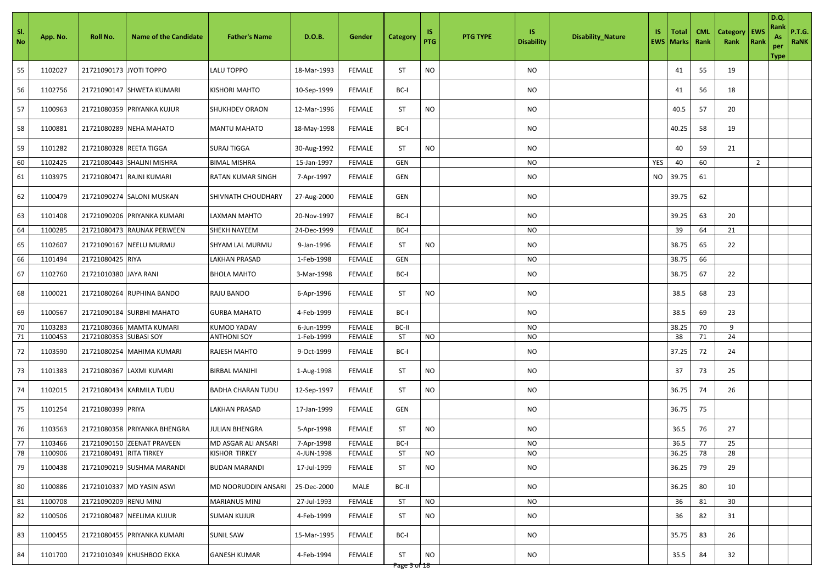| SI.<br>No | App. No. | Roll No.                | <b>Name of the Candidate</b> | <b>Father's Name</b>  | D.O.B.      | Gender        | <b>Category</b>    | IS<br><b>PTG</b> | <b>PTG TYPE</b> | IS.<br><b>Disability</b> | <b>Disability_Nature</b> | IS. | Total<br><b>EWS   Marks</b> | <b>CML</b><br>Rank | <b>Category</b><br>Rank | EWS<br>Rank    | <b>D.Q.</b><br>Rank<br>As<br>per<br><b>Type</b> | <b>P.T.G.</b><br>RaNK |
|-----------|----------|-------------------------|------------------------------|-----------------------|-------------|---------------|--------------------|------------------|-----------------|--------------------------|--------------------------|-----|-----------------------------|--------------------|-------------------------|----------------|-------------------------------------------------|-----------------------|
| 55        | 1102027  | 21721090173 JYOTI TOPPO |                              | <b>LALU TOPPO</b>     | 18-Mar-1993 | <b>FEMALE</b> | <b>ST</b>          | <b>NO</b>        |                 | <b>NO</b>                |                          |     | 41                          | 55                 | 19                      |                |                                                 |                       |
| 56        | 1102756  |                         | 21721090147 SHWETA KUMARI    | KISHORI MAHTO         | 10-Sep-1999 | <b>FEMALE</b> | BC-I               |                  |                 | NO                       |                          |     | 41                          | 56                 | 18                      |                |                                                 |                       |
| 57        | 1100963  |                         | 21721080359 PRIYANKA KUJUR   | <b>SHUKHDEV ORAON</b> | 12-Mar-1996 | <b>FEMALE</b> | <b>ST</b>          | <b>NO</b>        |                 | NO.                      |                          |     | 40.5                        | 57                 | 20                      |                |                                                 |                       |
| 58        | 1100881  |                         | 21721080289 NEHA MAHATO      | <b>MANTU MAHATO</b>   | 18-May-1998 | <b>FEMALE</b> | BC-I               |                  |                 | <b>NO</b>                |                          |     | 40.25                       | 58                 | 19                      |                |                                                 |                       |
| 59        | 1101282  | 21721080328 REETA TIGGA |                              | <b>SURAJ TIGGA</b>    | 30-Aug-1992 | <b>FEMALE</b> | <b>ST</b>          | <b>NO</b>        |                 | NO                       |                          |     | 40                          | 59                 | 21                      |                |                                                 |                       |
| 60        | 1102425  |                         | 21721080443 SHALINI MISHRA   | <b>BIMAL MISHRA</b>   | 15-Jan-1997 | <b>FEMALE</b> | GEN                |                  |                 | NO                       |                          | YES | 40                          | 60                 |                         | $\overline{2}$ |                                                 |                       |
| 61        | 1103975  |                         | 21721080471 RAJNI KUMARI     | RATAN KUMAR SINGH     | 7-Apr-1997  | <b>FEMALE</b> | GEN                |                  |                 | NO                       |                          | NO  | 39.75                       | 61                 |                         |                |                                                 |                       |
| 62        | 1100479  |                         | 21721090274 SALONI MUSKAN    | SHIVNATH CHOUDHARY    | 27-Aug-2000 | <b>FEMALE</b> | GEN                |                  |                 | NO.                      |                          |     | 39.75                       | 62                 |                         |                |                                                 |                       |
| 63        | 1101408  |                         | 21721090206 PRIYANKA KUMARI  | LAXMAN MAHTO          | 20-Nov-1997 | <b>FEMALE</b> | BC-I               |                  |                 | <b>NO</b>                |                          |     | 39.25                       | 63                 | 20                      |                |                                                 |                       |
| 64        | 1100285  |                         | 21721080473 RAUNAK PERWEEN   | <b>SHEKH NAYEEM</b>   | 24-Dec-1999 | <b>FEMALE</b> | BC-I               |                  |                 | NO                       |                          |     | 39                          | 64                 | 21                      |                |                                                 |                       |
| 65        | 1102607  |                         | 21721090167 NEELU MURMU      | SHYAM LAL MURMU       | 9-Jan-1996  | <b>FEMALE</b> | ST                 | <b>NO</b>        |                 | NO                       |                          |     | 38.75                       | 65                 | 22                      |                |                                                 |                       |
| 66        | 1101494  | 21721080425 RIYA        |                              | LAKHAN PRASAD         | 1-Feb-1998  | <b>FEMALE</b> | GEN                |                  |                 | NO                       |                          |     | 38.75                       | 66                 |                         |                |                                                 |                       |
| 67        | 1102760  | 21721010380 JAYA RANI   |                              | <b>BHOLA MAHTO</b>    | 3-Mar-1998  | <b>FEMALE</b> | BC-I               |                  |                 | <b>NO</b>                |                          |     | 38.75                       | 67                 | 22                      |                |                                                 |                       |
| 68        | 1100021  |                         | 21721080264 RUPHINA BANDO    | RAJU BANDO            | 6-Apr-1996  | <b>FEMALE</b> | <b>ST</b>          | <b>NO</b>        |                 | <b>NO</b>                |                          |     | 38.5                        | 68                 | 23                      |                |                                                 |                       |
| 69        | 1100567  |                         | 21721090184 SURBHI MAHATO    | <b>GURBA MAHATO</b>   | 4-Feb-1999  | <b>FEMALE</b> | BC-I               |                  |                 | <b>NO</b>                |                          |     | 38.5                        | 69                 | 23                      |                |                                                 |                       |
| 70        | 1103283  |                         | 21721080366 MAMTA KUMARI     | <b>KUMOD YADAV</b>    | 6-Jun-1999  | <b>FEMALE</b> | BC-II              |                  |                 | <b>NO</b>                |                          |     | 38.25                       | 70                 | 9                       |                |                                                 |                       |
| 71        | 1100453  | 21721080353             | <b>SUBASI SOY</b>            | <b>ANTHONI SOY</b>    | 1-Feb-1999  | <b>FEMALE</b> | <b>ST</b>          | <b>NO</b>        |                 | NO                       |                          |     | 38                          | 71                 | 24                      |                |                                                 |                       |
| 72        | 1103590  |                         | 21721080254 MAHIMA KUMARI    | RAJESH MAHTO          | 9-Oct-1999  | <b>FEMALE</b> | BC-I               |                  |                 | <b>NO</b>                |                          |     | 37.25                       | 72                 | 24                      |                |                                                 |                       |
| 73        | 1101383  |                         | 21721080367 LAXMI KUMARI     | <b>BIRBAL MANJHI</b>  | 1-Aug-1998  | <b>FEMALE</b> | ST                 | <b>NO</b>        |                 | NO                       |                          |     | 37                          | 73                 | 25                      |                |                                                 |                       |
| 74        | 1102015  |                         | 21721080434 KARMILA TUDU     | BADHA CHARAN TUDU     | 12-Sep-1997 | <b>FEMALE</b> | <b>ST</b>          | <b>NO</b>        |                 | <b>NO</b>                |                          |     | 36.75                       | 74                 | 26                      |                |                                                 |                       |
| 75        | 1101254  | 21721080399 PRIYA       |                              | <b>LAKHAN PRASAD</b>  | 17-Jan-1999 | <b>FEMALE</b> | GEN                |                  |                 | NO                       |                          |     | 36.75                       | 75                 |                         |                |                                                 |                       |
| 76        | 1103563  |                         | 21721080358 PRIYANKA BHENGRA | JULIAN BHENGRA        | 5-Apr-1998  | <b>FEMALE</b> | ST                 | <b>NO</b>        |                 | NO                       |                          |     | 36.5                        | 76                 | 27                      |                |                                                 |                       |
| 77        | 1103466  |                         | 21721090150 ZEENAT PRAVEEN   | MD ASGAR ALI ANSARI   | 7-Apr-1998  | <b>FEMALE</b> | BC-I               |                  |                 | <b>NO</b>                |                          |     | 36.5                        | 77                 | 25                      |                |                                                 |                       |
| 78        | 1100906  | 21721080491 RITA TIRKEY |                              | KISHOR TIRKEY         | 4-JUN-1998  | FEMALE        | <b>ST</b>          | NO.              |                 | NO.                      |                          |     | 36.25                       | 78                 | 28                      |                |                                                 |                       |
| 79        | 1100438  |                         | 21721090219 SUSHMA MARANDI   | <b>BUDAN MARANDI</b>  | 17-Jul-1999 | <b>FEMALE</b> | ST                 | <b>NO</b>        |                 | NO.                      |                          |     | 36.25                       | 79                 | 29                      |                |                                                 |                       |
| 80        | 1100886  |                         | 21721010337 MD YASIN ASWI    | MD NOORUDDIN ANSARI   | 25-Dec-2000 | MALE          | BC-II              |                  |                 | <b>NO</b>                |                          |     | 36.25                       | 80                 | 10                      |                |                                                 |                       |
| 81        | 1100708  | 21721090209 RENU MINJ   |                              | <b>MARIANUS MINJ</b>  | 27-Jul-1993 | FEMALE        | ST                 | <b>NO</b>        |                 | NO                       |                          |     | 36                          | 81                 | 30                      |                |                                                 |                       |
| 82        | 1100506  |                         | 21721080487 NEELIMA KUJUR    | <b>SUMAN KUJUR</b>    | 4-Feb-1999  | FEMALE        | ST                 | <b>NO</b>        |                 | NO                       |                          |     | 36                          | 82                 | 31                      |                |                                                 |                       |
| 83        | 1100455  |                         | 21721080455 PRIYANKA KUMARI  | <b>SUNIL SAW</b>      | 15-Mar-1995 | <b>FEMALE</b> | BC-I               |                  |                 | N <sub>O</sub>           |                          |     | 35.75                       | 83                 | 26                      |                |                                                 |                       |
| 84        | 1101700  |                         | 21721010349 KHUSHBOO EKKA    | <b>GANESH KUMAR</b>   | 4-Feb-1994  | FEMALE        | ST<br>Page 3 of 18 | <b>NO</b>        |                 | NO                       |                          |     | 35.5                        | 84                 | 32                      |                |                                                 |                       |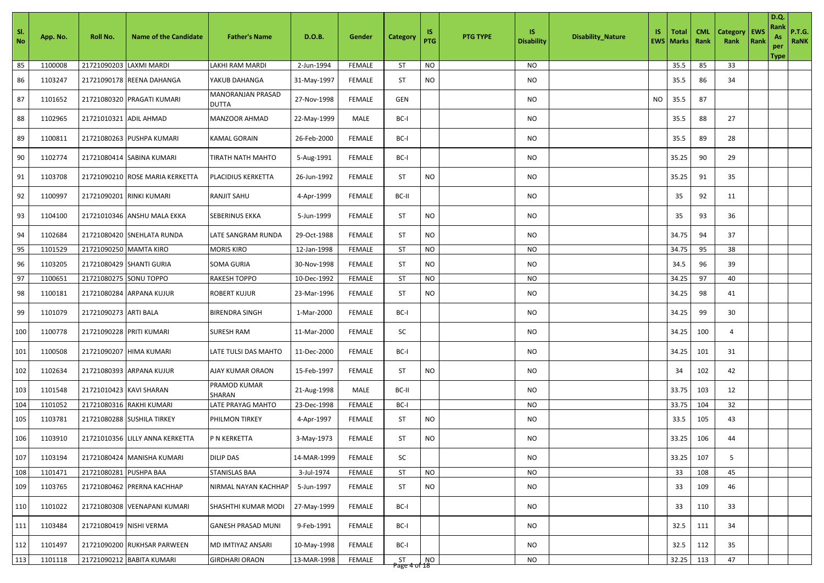| SI.<br>No | App. No. | Roll No.                 | <b>Name of the Candidate</b>    | <b>Father's Name</b>              | D.O.B.      | Gender        | <b>Category</b>         | IS<br>PTG | <b>PTG TYPE</b> | IS<br><b>Disability</b> | <b>Disability_Nature</b> | IS.       | Total<br><b>EWS   Marks</b> | <b>CML</b><br>Rank | <b>Category</b><br>Rank | EWS<br>Rank | D.Q.<br>Rank<br>As<br>per<br><b>Type</b> | <b>P.T.G.</b><br>RaNK |
|-----------|----------|--------------------------|---------------------------------|-----------------------------------|-------------|---------------|-------------------------|-----------|-----------------|-------------------------|--------------------------|-----------|-----------------------------|--------------------|-------------------------|-------------|------------------------------------------|-----------------------|
| 85        | 1100008  | 21721090203              | <b>LAXMI MARDI</b>              | LAKHI RAM MARDI                   | 2-Jun-1994  | <b>FEMALE</b> | ST                      | <b>NO</b> |                 | NO                      |                          |           | 35.5                        | 85                 | 33                      |             |                                          |                       |
| 86        | 1103247  |                          | 21721090178 REENA DAHANGA       | YAKUB DAHANGA                     | 31-May-1997 | <b>FEMALE</b> | <b>ST</b>               | <b>NO</b> |                 | <b>NO</b>               |                          |           | 35.5                        | 86                 | 34                      |             |                                          |                       |
| 87        | 1101652  |                          | 21721080320 PRAGATI KUMARI      | MANORANJAN PRASAD<br><b>DUTTA</b> | 27-Nov-1998 | <b>FEMALE</b> | <b>GEN</b>              |           |                 | NO                      |                          | <b>NO</b> | 35.5                        | 87                 |                         |             |                                          |                       |
| 88        | 1102965  | 21721010321 ADIL AHMAD   |                                 | MANZOOR AHMAD                     | 22-May-1999 | MALE          | BC-I                    |           |                 | NO.                     |                          |           | 35.5                        | 88                 | 27                      |             |                                          |                       |
| 89        | 1100811  |                          | 21721080263 PUSHPA KUMARI       | <b>KAMAL GORAIN</b>               | 26-Feb-2000 | <b>FEMALE</b> | BC-I                    |           |                 | NO.                     |                          |           | 35.5                        | 89                 | 28                      |             |                                          |                       |
| 90        | 1102774  |                          | 21721080414 SABINA KUMARI       | TIRATH NATH MAHTO                 | 5-Aug-1991  | <b>FEMALE</b> | BC-I                    |           |                 | <b>NO</b>               |                          |           | 35.25                       | 90                 | 29                      |             |                                          |                       |
| 91        | 1103708  |                          | 21721090210 ROSE MARIA KERKETTA | PLACIDIUS KERKETTA                | 26-Jun-1992 | <b>FEMALE</b> | ST                      | <b>NO</b> |                 | <b>NO</b>               |                          |           | 35.25                       | 91                 | 35                      |             |                                          |                       |
| 92        | 1100997  |                          | 21721090201 RINKI KUMARI        | RANJIT SAHU                       | 4-Apr-1999  | <b>FEMALE</b> | BC-II                   |           |                 | NO                      |                          |           | 35                          | 92                 | 11                      |             |                                          |                       |
| 93        | 1104100  |                          | 21721010346 ANSHU MALA EKKA     | <b>SEBERINUS EKKA</b>             | 5-Jun-1999  | <b>FEMALE</b> | <b>ST</b>               | <b>NO</b> |                 | <b>NO</b>               |                          |           | 35                          | 93                 | 36                      |             |                                          |                       |
| 94        | 1102684  |                          | 21721080420 SNEHLATA RUNDA      | LATE SANGRAM RUNDA                | 29-Oct-1988 | <b>FEMALE</b> | ST                      | <b>NO</b> |                 | NO                      |                          |           | 34.75                       | 94                 | 37                      |             |                                          |                       |
| 95        | 1101529  | 21721090250 MAMTA KIRO   |                                 | <b>MORIS KIRO</b>                 | 12-Jan-1998 | FEMALE        | <b>ST</b>               | <b>NO</b> |                 | NO                      |                          |           | 34.75                       | 95                 | 38                      |             |                                          |                       |
| 96        | 1103205  |                          | 21721080429 SHANTI GURIA        | <b>SOMA GURIA</b>                 | 30-Nov-1998 | <b>FEMALE</b> | ST                      | <b>NO</b> |                 | NO                      |                          |           | 34.5                        | 96                 | 39                      |             |                                          |                       |
| 97        | 1100651  | 21721080275 SONU TOPPO   |                                 | <b>RAKESH TOPPO</b>               | 10-Dec-1992 | <b>FEMALE</b> | <b>ST</b>               | <b>NO</b> |                 | NO                      |                          |           | 34.25                       | 97                 | 40                      |             |                                          |                       |
| 98        | 1100181  |                          | 21721080284 ARPANA KUJUR        | <b>ROBERT KUJUR</b>               | 23-Mar-1996 | <b>FEMALE</b> | ST                      | <b>NO</b> |                 | NO                      |                          |           | 34.25                       | 98                 | 41                      |             |                                          |                       |
| 99        | 1101079  | 21721090273 ARTI BALA    |                                 | <b>BIRENDRA SINGH</b>             | 1-Mar-2000  | <b>FEMALE</b> | BC-I                    |           |                 | NO                      |                          |           | 34.25                       | 99                 | 30                      |             |                                          |                       |
| 100       | 1100778  | 21721090228 PRITI KUMARI |                                 | <b>SURESH RAM</b>                 | 11-Mar-2000 | <b>FEMALE</b> | SC                      |           |                 | NO                      |                          |           | 34.25                       | 100                | 4                       |             |                                          |                       |
| 101       | 1100508  |                          | 21721090207 HIMA KUMARI         | LATE TULSI DAS MAHTO              | 11-Dec-2000 | <b>FEMALE</b> | BC-I                    |           |                 | <b>NO</b>               |                          |           | 34.25                       | 101                | 31                      |             |                                          |                       |
| 102       | 1102634  |                          | 21721080393 ARPANA KUJUR        | AJAY KUMAR ORAON                  | 15-Feb-1997 | <b>FEMALE</b> | <b>ST</b>               | <b>NO</b> |                 | <b>NO</b>               |                          |           | 34                          | 102                | 42                      |             |                                          |                       |
| 103       | 1101548  | 21721010423 KAVI SHARAN  |                                 | PRAMOD KUMAR<br>SHARAN            | 21-Aug-1998 | MALE          | BC-II                   |           |                 | NO                      |                          |           | 33.75                       | 103                | 12                      |             |                                          |                       |
| 104       | 1101052  |                          | 21721080316 RAKHI KUMARI        | LATE PRAYAG MAHTO                 | 23-Dec-1998 | <b>FEMALE</b> | BC-I                    |           |                 | NO                      |                          |           | 33.75                       | 104                | 32                      |             |                                          |                       |
| 105       | 1103781  |                          | 21721080288 SUSHILA TIRKEY      | PHILMON TIRKEY                    | 4-Apr-1997  | <b>FEMALE</b> | ST                      | <b>NO</b> |                 | NO                      |                          |           | 33.5                        | 105                | 43                      |             |                                          |                       |
| 106       | 1103910  |                          | 21721010356 LILLY ANNA KERKETTA | P N KERKETTA                      | 3-May-1973  | <b>FEMALE</b> | <b>ST</b>               | NO.       |                 | NO                      |                          |           | 33.25                       | 106                | 44                      |             |                                          |                       |
| 107       | 1103194  |                          | 21721080424 MANISHA KUMARI      | DILIP DAS                         | 14-MAR-1999 | <b>FEMALE</b> | SC                      |           |                 | <b>NO</b>               |                          |           | 33.25                       | 107                | 5                       |             |                                          |                       |
| 108       | 1101471  | 21721080281 PUSHPA BAA   |                                 | <b>STANISLAS BAA</b>              | 3-Jul-1974  | <b>FEMALE</b> | ST                      | <b>NO</b> |                 | NO                      |                          |           | 33                          | 108                | 45                      |             |                                          |                       |
| 109       | 1103765  |                          | 21721080462 PRERNA KACHHAP      | NIRMAL NAYAN KACHHAP              | 5-Jun-1997  | <b>FEMALE</b> | ST                      | <b>NO</b> |                 | NO.                     |                          |           | 33                          | 109                | 46                      |             |                                          |                       |
| 110       | 1101022  |                          | 21721080308 VEENAPANI KUMARI    | SHASHTHI KUMAR MODI               | 27-May-1999 | <b>FEMALE</b> | BC-I                    |           |                 | NO                      |                          |           | 33                          | 110                | 33                      |             |                                          |                       |
| 111       | 1103484  | 21721080419 NISHI VERMA  |                                 | <b>GANESH PRASAD MUNI</b>         | 9-Feb-1991  | <b>FEMALE</b> | BC-I                    |           |                 | NO.                     |                          |           | 32.5                        | 111                | 34                      |             |                                          |                       |
| 112       | 1101497  |                          | 21721090200 RUKHSAR PARWEEN     | MD IMTIYAZ ANSARI                 | 10-May-1998 | <b>FEMALE</b> | BC-I                    |           |                 | <b>NO</b>               |                          |           | 32.5                        | 112                | 35                      |             |                                          |                       |
| 113       | 1101118  |                          | 21721090212 BABITA KUMARI       | <b>GIRDHARI ORAON</b>             | 13-MAR-1998 | <b>FEMALE</b> | $5T$ NO<br>Page 4 of 18 |           |                 | NO                      |                          |           | 32.25                       | 113                | 47                      |             |                                          |                       |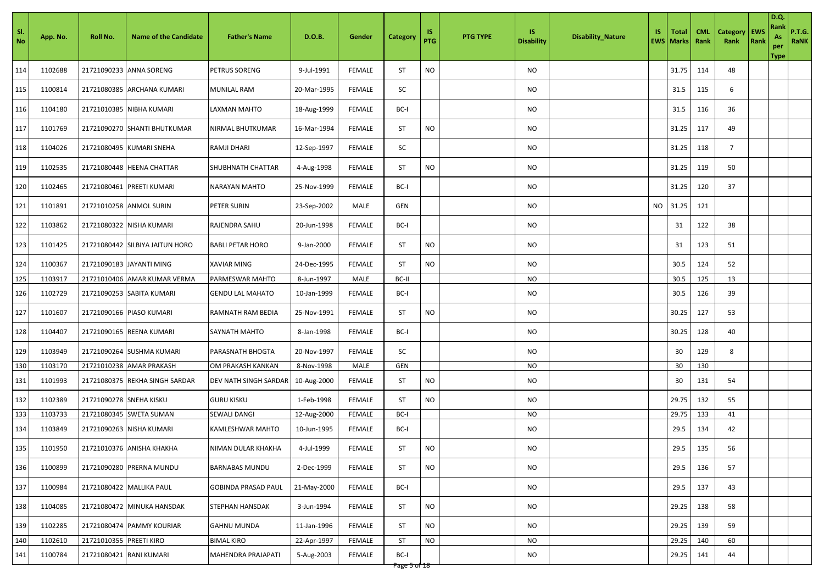| SI.<br>No | App. No. | Roll No.                | <b>Name of the Candidate</b>    | <b>Father's Name</b>       | D.O.B.      | Gender        | Category             | 1S<br>PTG | <b>PTG TYPE</b> | IS.<br><b>Disability</b> | <b>Disability_Nature</b> | IS.       | <b>Total</b><br><b>EWS   Marks  </b> | <b>CML</b><br>Rank | <b>Category</b><br>Rank | EWS<br>Rank | D.Q.<br>Rank<br>As<br>per<br><b>Type</b> | P.T.G.<br>RaNK |
|-----------|----------|-------------------------|---------------------------------|----------------------------|-------------|---------------|----------------------|-----------|-----------------|--------------------------|--------------------------|-----------|--------------------------------------|--------------------|-------------------------|-------------|------------------------------------------|----------------|
| 114       | 1102688  |                         | 21721090233 ANNA SORENG         | PETRUS SORENG              | 9-Jul-1991  | <b>FEMALE</b> | ST                   | <b>NO</b> |                 | NO                       |                          |           | 31.75                                | 114                | 48                      |             |                                          |                |
| 115       | 1100814  |                         | 21721080385 ARCHANA KUMARI      | MUNILAL RAM                | 20-Mar-1995 | <b>FEMALE</b> | SC                   |           |                 | NO                       |                          |           | 31.5                                 | 115                | 6                       |             |                                          |                |
| 116       | 1104180  |                         | 21721010385 NIBHA KUMARI        | <b>LAXMAN MAHTO</b>        | 18-Aug-1999 | <b>FEMALE</b> | BC-I                 |           |                 | NO                       |                          |           | 31.5                                 | 116                | 36                      |             |                                          |                |
| 117       | 1101769  |                         | 21721090270 SHANTI BHUTKUMAR    | NIRMAL BHUTKUMAR           | 16-Mar-1994 | <b>FEMALE</b> | <b>ST</b>            | <b>NO</b> |                 | <b>NO</b>                |                          |           | 31.25                                | 117                | 49                      |             |                                          |                |
| 118       | 1104026  |                         | 21721080495 KUMARI SNEHA        | RAMJI DHARI                | 12-Sep-1997 | <b>FEMALE</b> | SC                   |           |                 | NO                       |                          |           | 31.25                                | 118                | $\overline{7}$          |             |                                          |                |
| 119       | 1102535  |                         | 21721080448 HEENA CHATTAR       | SHUBHNATH CHATTAR          | 4-Aug-1998  | <b>FEMALE</b> | ST                   | <b>NO</b> |                 | NO                       |                          |           | 31.25                                | 119                | 50                      |             |                                          |                |
| 120       | 1102465  |                         | 21721080461 PREETI KUMARI       | NARAYAN MAHTO              | 25-Nov-1999 | <b>FEMALE</b> | BC-I                 |           |                 | NO                       |                          |           | 31.25                                | 120                | 37                      |             |                                          |                |
| 121       | 1101891  |                         | 21721010258 ANMOL SURIN         | PETER SURIN                | 23-Sep-2002 | MALE          | GEN                  |           |                 | NO                       |                          | <b>NO</b> | 31.25                                | 121                |                         |             |                                          |                |
| 122       | 1103862  |                         | 21721080322 NISHA KUMARI        | RAJENDRA SAHU              | 20-Jun-1998 | <b>FEMALE</b> | BC-I                 |           |                 | NO                       |                          |           | 31                                   | 122                | 38                      |             |                                          |                |
| 123       | 1101425  |                         | 21721080442 SILBIYA JAITUN HORO | <b>BABLI PETAR HORO</b>    | 9-Jan-2000  | FEMALE        | ST                   | <b>NO</b> |                 | NO                       |                          |           | 31                                   | 123                | 51                      |             |                                          |                |
| 124       | 1100367  |                         | 21721090183 JAYANTI MING        | <b>XAVIAR MING</b>         | 24-Dec-1995 | <b>FEMALE</b> | <b>ST</b>            | NO        |                 | NO                       |                          |           | 30.5                                 | 124                | 52                      |             |                                          |                |
| 125       | 1103917  |                         | 21721010406 AMAR KUMAR VERMA    | PARMESWAR MAHTO            | 8-Jun-1997  | MALE          | BC-II                |           |                 | NO                       |                          |           | 30.5                                 | 125                | 13                      |             |                                          |                |
| 126       | 1102729  |                         | 21721090253 SABITA KUMARI       | GENDU LAL MAHATO           | 10-Jan-1999 | FEMALE        | BC-I                 |           |                 | NO                       |                          |           | 30.5                                 | 126                | 39                      |             |                                          |                |
| 127       | 1101607  |                         | 21721090166 PIASO KUMARI        | RAMNATH RAM BEDIA          | 25-Nov-1991 | <b>FEMALE</b> | ST                   | <b>NO</b> |                 | NO                       |                          |           | 30.25                                | 127                | 53                      |             |                                          |                |
| 128       | 1104407  |                         | 21721090165 REENA KUMARI        | <b>SAYNATH MAHTO</b>       | 8-Jan-1998  | <b>FEMALE</b> | BC-I                 |           |                 | NO                       |                          |           | 30.25                                | 128                | 40                      |             |                                          |                |
| 129       | 1103949  |                         | 21721090264 SUSHMA KUMARI       | PARASNATH BHOGTA           | 20-Nov-1997 | <b>FEMALE</b> | SC                   |           |                 | NO                       |                          |           | 30                                   | 129                | 8                       |             |                                          |                |
| 130       | 1103170  |                         | 21721010238 AMAR PRAKASH        | OM PRAKASH KANKAN          | 8-Nov-1998  | MALE          | GEN                  |           |                 | NO                       |                          |           | 30                                   | 130                |                         |             |                                          |                |
| 131       | 1101993  |                         | 21721080375 REKHA SINGH SARDAR  | DEV NATH SINGH SARDAR      | 10-Aug-2000 | <b>FEMALE</b> | <b>ST</b>            | <b>NO</b> |                 | NO                       |                          |           | 30                                   | 131                | 54                      |             |                                          |                |
| 132       | 1102389  | 21721090278 SNEHA KISKU |                                 | <b>GURU KISKU</b>          | 1-Feb-1998  | <b>FEMALE</b> | <b>ST</b>            | <b>NO</b> |                 | NO                       |                          |           | 29.75                                | 132                | 55                      |             |                                          |                |
| 133       | 1103733  |                         | 21721080345 SWETA SUMAN         | SEWALI DANGI               | 12-Aug-2000 | FEMALE        | BC-I                 |           |                 | NO                       |                          |           | 29.75                                | 133                | 41                      |             |                                          |                |
| 134       | 1103849  |                         | 21721090263 NISHA KUMARI        | KAMLESHWAR MAHTO           | 10-Jun-1995 | <b>FEMALE</b> | BC-I                 |           |                 | NO                       |                          |           | 29.5                                 | 134                | 42                      |             |                                          |                |
| 135       | 1101950  |                         | 21721010376 ANISHA KHAKHA       | NIMAN DULAR KHAKHA         | 4-Jul-1999  | <b>FEMALE</b> | ST                   | <b>NO</b> |                 | NO                       |                          |           | 29.5                                 | 135                | 56                      |             |                                          |                |
| 136       | 1100899  |                         | 21721090280 PRERNA MUNDU        | BARNABAS MUNDU             | 2-Dec-1999  | <b>FEMALE</b> | <b>ST</b>            | <b>NO</b> |                 | <b>NO</b>                |                          |           | 29.5                                 | 136                | 57                      |             |                                          |                |
| 137       | 1100984  |                         | 21721080422 MALLIKA PAUL        | <b>GOBINDA PRASAD PAUL</b> | 21-May-2000 | <b>FEMALE</b> | BC-I                 |           |                 | NO.                      |                          |           | 29.5                                 | 137                | 43                      |             |                                          |                |
| 138       | 1104085  |                         | 21721080472 MINUKA HANSDAK      | STEPHAN HANSDAK            | 3-Jun-1994  | <b>FEMALE</b> | ST                   | NO        |                 | NO                       |                          |           | 29.25                                | 138                | 58                      |             |                                          |                |
| 139       | 1102285  |                         | 21721080474 PAMMY KOURIAR       | <b>GAHNU MUNDA</b>         | 11-Jan-1996 | <b>FEMALE</b> | ST                   | <b>NO</b> |                 | NO.                      |                          |           | 29.25                                | 139                | 59                      |             |                                          |                |
| 140       | 1102610  | 21721010355 PREETI KIRO |                                 | <b>BIMAL KIRO</b>          | 22-Apr-1997 | <b>FEMALE</b> | ST                   | <b>NO</b> |                 | NO                       |                          |           | 29.25                                | 140                | 60                      |             |                                          |                |
| 141       | 1100784  | 21721080421 RANI KUMARI |                                 | MAHENDRA PRAJAPATI         | 5-Aug-2003  | <b>FEMALE</b> | BC-I<br>Page 5 of 18 |           |                 | NO                       |                          |           | 29.25                                | 141                | 44                      |             |                                          |                |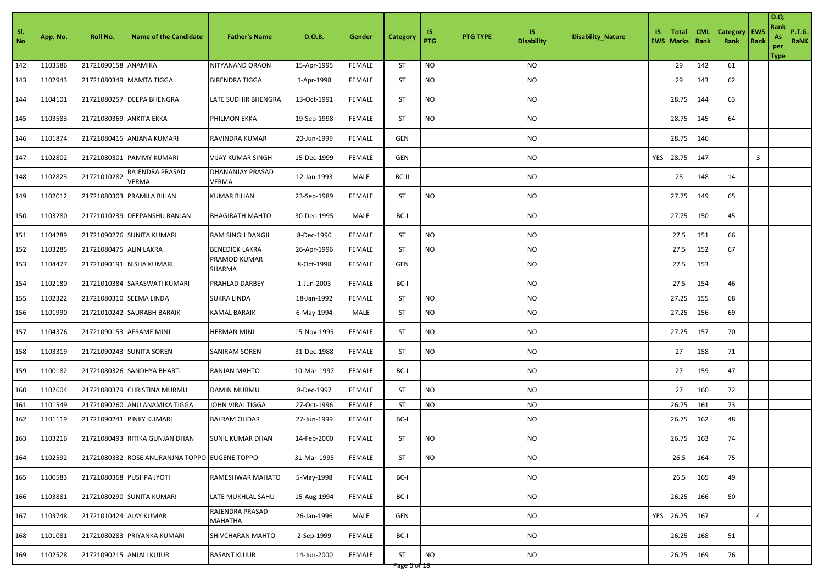| SI.<br>No | App. No. | Roll No.                 | <b>Name of the Candidate</b>                  | <b>Father's Name</b>              | D.O.B.      | Gender        | <b>Category</b>    | IS.<br>PTG | <b>PTG TYPE</b> | <b>IS</b><br><b>Disability</b> | <b>Disability_Nature</b> | IS.        | Total<br><b>EWS Marks</b> | <b>CML</b><br>Rank | <b>Category</b><br>Rank | EWS<br>Rank | D.Q.<br>Rank<br>As<br>per<br><b>Type</b> | <b>P.T.G.</b><br><b>RaNK</b> |
|-----------|----------|--------------------------|-----------------------------------------------|-----------------------------------|-------------|---------------|--------------------|------------|-----------------|--------------------------------|--------------------------|------------|---------------------------|--------------------|-------------------------|-------------|------------------------------------------|------------------------------|
| 142       | 1103586  | 21721090158 ANAMIKA      |                                               | NITYANAND ORAON                   | 15-Apr-1995 | <b>FEMALE</b> | ST                 | <b>NO</b>  |                 | NO                             |                          |            | 29                        | 142                | 61                      |             |                                          |                              |
| 143       | 1102943  |                          | 21721080349 MAMTA TIGGA                       | <b>BIRENDRA TIGGA</b>             | 1-Apr-1998  | <b>FEMALE</b> | ST                 | <b>NO</b>  |                 | <b>NO</b>                      |                          |            | 29                        | 143                | 62                      |             |                                          |                              |
| 144       | 1104101  |                          | 21721080257 DEEPA BHENGRA                     | LATE SUDHIR BHENGRA               | 13-Oct-1991 | <b>FEMALE</b> | ST                 | <b>NO</b>  |                 | NO                             |                          |            | 28.75                     | 144                | 63                      |             |                                          |                              |
| 145       | 1103583  | 21721080369  ANKITA EKKA |                                               | PHILMON EKKA                      | 19-Sep-1998 | <b>FEMALE</b> | ST                 | NO.        |                 | NO.                            |                          |            | 28.75                     | 145                | 64                      |             |                                          |                              |
| 146       | 1101874  |                          | 21721080415 ANJANA KUMARI                     | RAVINDRA KUMAR                    | 20-Jun-1999 | <b>FEMALE</b> | GEN                |            |                 | NO.                            |                          |            | 28.75                     | 146                |                         |             |                                          |                              |
| 147       | 1102802  |                          | 21721080301 PAMMY KUMARI                      | <b>VIJAY KUMAR SINGH</b>          | 15-Dec-1999 | <b>FEMALE</b> | GEN                |            |                 | <b>NO</b>                      |                          | <b>YES</b> | 28.75                     | 147                |                         | 3           |                                          |                              |
| 148       | 1102823  | 21721010282              | RAJENDRA PRASAD<br><b>VERMA</b>               | DHANANJAY PRASAD<br>VERMA         | 12-Jan-1993 | MALE          | BC-II              |            |                 | NO                             |                          |            | 28                        | 148                | 14                      |             |                                          |                              |
| 149       | 1102012  |                          | 21721080303 PRAMILA BIHAN                     | <b>KUMAR BIHAN</b>                | 23-Sep-1989 | <b>FEMALE</b> | ST                 | <b>NO</b>  |                 | NO                             |                          |            | 27.75                     | 149                | 65                      |             |                                          |                              |
| 150       | 1103280  |                          | 21721010239 DEEPANSHU RANJAN                  | <b>BHAGIRATH MAHTO</b>            | 30-Dec-1995 | MALE          | BC-I               |            |                 | NO.                            |                          |            | 27.75                     | 150                | 45                      |             |                                          |                              |
| 151       | 1104289  |                          | 21721090276 SUNITA KUMARI                     | RAM SINGH DANGIL                  | 8-Dec-1990  | <b>FEMALE</b> | ST                 | <b>NO</b>  |                 | NO                             |                          |            | 27.5                      | 151                | 66                      |             |                                          |                              |
| 152       | 1103285  | 21721080475 ALIN LAKRA   |                                               | <b>BENEDICK LAKRA</b>             | 26-Apr-1996 | FEMALE        | <b>ST</b>          | <b>NO</b>  |                 | NO                             |                          |            | 27.5                      | 152                | 67                      |             |                                          |                              |
| 153       | 1104477  |                          | 21721090191 NISHA KUMARI                      | PRAMOD KUMAR<br>SHARMA            | 8-Oct-1998  | <b>FEMALE</b> | GEN                |            |                 | NO                             |                          |            | 27.5                      | 153                |                         |             |                                          |                              |
| 154       | 1102180  |                          | 21721010384 SARASWATI KUMARI                  | PRAHLAD DARBEY                    | 1-Jun-2003  | <b>FEMALE</b> | BC-I               |            |                 | NO                             |                          |            | 27.5                      | 154                | 46                      |             |                                          |                              |
| 155       | 1102322  | 21721080310 SEEMA LINDA  |                                               | <b>SUKRA LINDA</b>                | 18-Jan-1992 | <b>FEMALE</b> | <b>ST</b>          | <b>NO</b>  |                 | <b>NO</b>                      |                          |            | 27.25                     | 155                | 68                      |             |                                          |                              |
| 156       | 1101990  |                          | 21721010242 SAURABH BARAIK                    | KAMAL BARAIK                      | 6-May-1994  | MALE          | ST                 | <b>NO</b>  |                 | NO                             |                          |            | 27.25                     | 156                | 69                      |             |                                          |                              |
| 157       | 1104376  |                          | 21721090153 AFRAME MINJ                       | HERMAN MINJ                       | 15-Nov-1995 | <b>FEMALE</b> | <b>ST</b>          | <b>NO</b>  |                 | NO.                            |                          |            | 27.25                     | 157                | 70                      |             |                                          |                              |
| 158       | 1103319  |                          | 21721090243 SUNITA SOREN                      | <b>SANIRAM SOREN</b>              | 31-Dec-1988 | <b>FEMALE</b> | <b>ST</b>          | <b>NO</b>  |                 | <b>NO</b>                      |                          |            | 27                        | 158                | 71                      |             |                                          |                              |
| 159       | 1100182  |                          | 21721080326 SANDHYA BHARTI                    | RANJAN MAHTO                      | 10-Mar-1997 | <b>FEMALE</b> | BC-I               |            |                 | <b>NO</b>                      |                          |            | 27                        | 159                | 47                      |             |                                          |                              |
| 160       | 1102604  |                          | 21721080379 CHRISTINA MURMU                   | <b>DAMIN MURMU</b>                | 8-Dec-1997  | <b>FEMALE</b> | ST                 | <b>NO</b>  |                 | NO                             |                          |            | 27                        | 160                | 72                      |             |                                          |                              |
| 161       | 1101549  |                          | 21721090260 ANU ANAMIKA TIGGA                 | JOHN VIRAJ TIGGA                  | 27-Oct-1996 | <b>FEMALE</b> | ST                 | <b>NO</b>  |                 | NO.                            |                          |            | 26.75                     | 161                | 73                      |             |                                          |                              |
| 162       | 1101119  |                          | 21721090241 PINKY KUMARI                      | <b>BALRAM OHDAR</b>               | 27-Jun-1999 | <b>FEMALE</b> | BC-I               |            |                 | NO                             |                          |            | 26.75                     | 162                | 48                      |             |                                          |                              |
| 163       | 1103216  |                          | 21721080493 RITIKA GUNJAN DHAN                | SUNIL KUMAR DHAN                  | 14-Feb-2000 | <b>FEMALE</b> | ST                 | NO.        |                 | NO.                            |                          |            | 26.75                     | 163                | 74                      |             |                                          |                              |
| 164       | 1102592  |                          | 21721080332 ROSE ANURANJNA TOPPO EUGENE TOPPO |                                   | 31-Mar-1995 | <b>FEMALE</b> | ST                 | <b>NO</b>  |                 | <b>NO</b>                      |                          |            | 26.5                      | 164                | 75                      |             |                                          |                              |
| 165       | 1100583  |                          | 21721080368 PUSHPA JYOTI                      | RAMESHWAR MAHATO                  | 5-May-1998  | <b>FEMALE</b> | BC-I               |            |                 | <b>NO</b>                      |                          |            | 26.5                      | 165                | 49                      |             |                                          |                              |
| 166       | 1103881  |                          | 21721080290 SUNITA KUMARI                     | LATE MUKHLAL SAHU                 | 15-Aug-1994 | <b>FEMALE</b> | BC-I               |            |                 | <b>NO</b>                      |                          |            | 26.25                     | 166                | 50                      |             |                                          |                              |
| 167       | 1103748  | 21721010424 AJAY KUMAR   |                                               | RAJENDRA PRASAD<br><b>MAHATHA</b> | 26-Jan-1996 | MALE          | GEN                |            |                 | NO                             |                          |            | YES 26.25                 | 167                |                         | 4           |                                          |                              |
| 168       | 1101081  |                          | 21721080283 PRIYANKA KUMARI                   | SHIVCHARAN MAHTO                  | 2-Sep-1999  | <b>FEMALE</b> | BC-I               |            |                 | NO.                            |                          |            | 26.25                     | 168                | 51                      |             |                                          |                              |
| 169       | 1102528  |                          | 21721090215 ANJALI KUJUR                      | <b>BASANT KUJUR</b>               | 14-Jun-2000 | <b>FEMALE</b> | ST<br>Page 6 of 18 | <b>NO</b>  |                 | NO                             |                          |            | 26.25                     | 169                | 76                      |             |                                          |                              |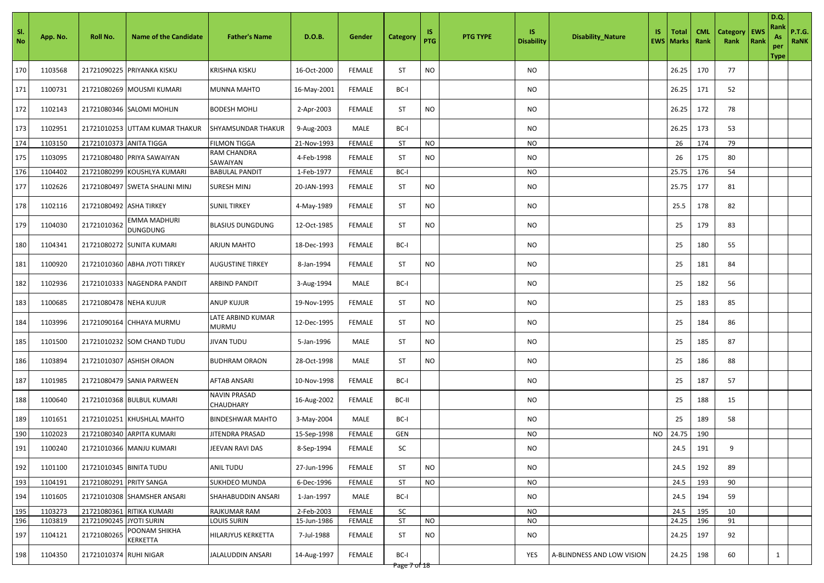| -SI.<br><b>No</b> | App. No. | Roll No.                | <b>Name of the Candidate</b>    | <b>Father's Name</b>                    | D.O.B.      | Gender        | <b>Category</b> | 1S<br><b>PTG</b> | <b>PTG TYPE</b> | IS.<br><b>Disability</b> | <b>Disability_Nature</b>   | IS. | <b>Total</b><br><b>EWS   Marks  </b> | <b>CML</b><br>Rank | <b>Category</b><br>Rank | EWS<br>Rank | D.Q.<br>Rank<br>As<br>per<br>Type | <b>P.T.G.</b><br>RaNK |
|-------------------|----------|-------------------------|---------------------------------|-----------------------------------------|-------------|---------------|-----------------|------------------|-----------------|--------------------------|----------------------------|-----|--------------------------------------|--------------------|-------------------------|-------------|-----------------------------------|-----------------------|
| 170               | 1103568  |                         | 21721090225 PRIYANKA KISKU      | <b>KRISHNA KISKU</b>                    | 16-Oct-2000 | <b>FEMALE</b> | <b>ST</b>       | <b>NO</b>        |                 | NO                       |                            |     | 26.25                                | 170                | 77                      |             |                                   |                       |
| 171               | 1100731  |                         | 21721080269 MOUSMI KUMARI       | <b>MUNNA MAHTO</b>                      | 16-May-2001 | <b>FEMALE</b> | BC-I            |                  |                 | NO                       |                            |     | 26.25                                | 171                | 52                      |             |                                   |                       |
| 172               | 1102143  |                         | 21721080346 SALOMI MOHLIN       | <b>BODESH MOHLI</b>                     | 2-Apr-2003  | <b>FEMALE</b> | <b>ST</b>       | <b>NO</b>        |                 | NO                       |                            |     | 26.25                                | 172                | 78                      |             |                                   |                       |
| 173               | 1102951  |                         | 21721010253 UTTAM KUMAR THAKUR  | <b>SHYAMSUNDAR THAKUR</b>               | 9-Aug-2003  | MALE          | BC-I            |                  |                 | NO                       |                            |     | 26.25                                | 173                | 53                      |             |                                   |                       |
| 174               | 1103150  | 21721010373 ANITA TIGGA |                                 | <b>FILMON TIGGA</b>                     | 21-Nov-1993 | FEMALE        | <b>ST</b>       | <b>NO</b>        |                 | <b>NO</b>                |                            |     | 26                                   | 174                | 79                      |             |                                   |                       |
| 175               | 1103095  |                         | 21721080480 PRIYA SAWAIYAN      | <b>RAM CHANDRA</b><br>SAWAIYAN          | 4-Feb-1998  | <b>FEMALE</b> | <b>ST</b>       | <b>NO</b>        |                 | <b>NO</b>                |                            |     | 26                                   | 175                | 80                      |             |                                   |                       |
| 176               | 1104402  |                         | 21721080299 KOUSHLYA KUMARI     | <b>BABULAL PANDIT</b>                   | 1-Feb-1977  | FEMALE        | BC-I            |                  |                 | <b>NO</b>                |                            |     | 25.75                                | 176                | 54                      |             |                                   |                       |
| 177               | 1102626  |                         | 21721080497 SWETA SHALINI MINJ  | <b>SURESH MINJ</b>                      | 20-JAN-1993 | <b>FEMALE</b> | <b>ST</b>       | <b>NO</b>        |                 | <b>NO</b>                |                            |     | 25.75                                | 177                | 81                      |             |                                   |                       |
| 178               | 1102116  | 21721080492 ASHA TIRKEY |                                 | <b>SUNIL TIRKEY</b>                     | 4-May-1989  | <b>FEMALE</b> | ST              | <b>NO</b>        |                 | <b>NO</b>                |                            |     | 25.5                                 | 178                | 82                      |             |                                   |                       |
| 179               | 1104030  | 21721010362             | EMMA MADHURI<br><b>DUNGDUNG</b> | <b>BLASIUS DUNGDUNG</b>                 | 12-Oct-1985 | <b>FEMALE</b> | <b>ST</b>       | <b>NO</b>        |                 | NO                       |                            |     | 25                                   | 179                | 83                      |             |                                   |                       |
| 180               | 1104341  |                         | 21721080272 SUNITA KUMARI       | <b>ARJUN MAHTO</b>                      | 18-Dec-1993 | <b>FEMALE</b> | BC-I            |                  |                 | <b>NO</b>                |                            |     | 25                                   | 180                | 55                      |             |                                   |                       |
| 181               | 1100920  |                         | 21721010360 ABHA JYOTI TIRKEY   | <b>AUGUSTINE TIRKEY</b>                 | 8-Jan-1994  | <b>FEMALE</b> | <b>ST</b>       | <b>NO</b>        |                 | NO                       |                            |     | 25                                   | 181                | 84                      |             |                                   |                       |
| 182               | 1102936  |                         | 21721010333 NAGENDRA PANDIT     | <b>ARBIND PANDIT</b>                    | 3-Aug-1994  | MALE          | BC-I            |                  |                 | <b>NO</b>                |                            |     | 25                                   | 182                | 56                      |             |                                   |                       |
| 183               | 1100685  | 21721080478 NEHA KUJUR  |                                 | <b>ANUP KUJUR</b>                       | 19-Nov-1995 | <b>FEMALE</b> | <b>ST</b>       | <b>NO</b>        |                 | NO                       |                            |     | 25                                   | 183                | 85                      |             |                                   |                       |
| 184               | 1103996  |                         | 21721090164 CHHAYA MURMU        | LATE ARBIND KUMAR<br><b>MURMU</b>       | 12-Dec-1995 | <b>FEMALE</b> | <b>ST</b>       | <b>NO</b>        |                 | <b>NO</b>                |                            |     | 25                                   | 184                | 86                      |             |                                   |                       |
| 185               | 1101500  |                         | 21721010232 SOM CHAND TUDU      | <b>JIVAN TUDU</b>                       | 5-Jan-1996  | MALE          | <b>ST</b>       | <b>NO</b>        |                 | NO                       |                            |     | 25                                   | 185                | 87                      |             |                                   |                       |
| 186               | 1103894  |                         | 21721010307 ASHISH ORAON        | <b>BUDHRAM ORAON</b>                    | 28-Oct-1998 | MALE          | <b>ST</b>       | <b>NO</b>        |                 | NO                       |                            |     | 25                                   | 186                | 88                      |             |                                   |                       |
| 187               | 1101985  |                         | 21721080479 SANIA PARWEEN       | <b>AFTAB ANSARI</b>                     | 10-Nov-1998 | <b>FEMALE</b> | BC-I            |                  |                 | <b>NO</b>                |                            |     | 25                                   | 187                | 57                      |             |                                   |                       |
| 188               | 1100640  |                         | 21721010368 BULBUL KUMARI       | <b>NAVIN PRASAD</b><br><b>CHAUDHARY</b> | 16-Aug-2002 | <b>FEMALE</b> | BC-II           |                  |                 | <b>NO</b>                |                            |     | 25                                   | 188                | 15                      |             |                                   |                       |
| 189               | 1101651  | 21721010251             | <b>KHUSHLAL MAHTO</b>           | <b>BINDESHWAR MAHTO</b>                 | 3-May-2004  | MALE          | BC-I            |                  |                 | <b>NO</b>                |                            |     | 25                                   | 189                | 58                      |             |                                   |                       |
| 190               | 1102023  |                         | 21721080340 ARPITA KUMARI       | JITENDRA PRASAD                         | 15-Sep-1998 | <b>FEMALE</b> | GEN             |                  |                 | <b>NO</b>                |                            |     | NO 24.75                             | 190                |                         |             |                                   |                       |
| 191               | 1100240  |                         | 21721010366 MANJU KUMARI        | JEEVAN RAVI DAS                         | 8-Sep-1994  | <b>FEMALE</b> | SC              |                  |                 | NO                       |                            |     | 24.5                                 | 191                | 9                       |             |                                   |                       |
| 192               | 1101100  | 21721010345 BINITA TUDU |                                 | <b>ANIL TUDU</b>                        | 27-Jun-1996 | <b>FEMALE</b> | <b>ST</b>       | <b>NO</b>        |                 | <b>NO</b>                |                            |     | 24.5                                 | 192                | 89                      |             |                                   |                       |
| 193               | 1104191  | 21721080291 PRITY SANGA |                                 | <b>SUKHDEO MUNDA</b>                    | 6-Dec-1996  | FEMALE        | <b>ST</b>       | <b>NO</b>        |                 | <b>NO</b>                |                            |     | 24.5                                 | 193                | 90                      |             |                                   |                       |
| 194               | 1101605  |                         | 21721010308 SHAMSHER ANSARI     | SHAHABUDDIN ANSARI                      | 1-Jan-1997  | MALE          | BC-I            |                  |                 | <b>NO</b>                |                            |     | 24.5                                 | 194                | 59                      |             |                                   |                       |
| 195               | 1103273  | 21721080361             | RITIKA KUMARI                   | RAJKUMAR RAM                            | 2-Feb-2003  | <b>FEMALE</b> | SC              |                  |                 | <b>NO</b>                |                            |     | 24.5                                 | 195                | 10                      |             |                                   |                       |
| 196               | 1103819  | 21721090245             | JYOTI SURIN                     | LOUIS SURIN                             | 15-Jun-1986 | FEMALE        | <b>ST</b>       | <b>NO</b>        |                 | <b>NO</b>                |                            |     | 24.25                                | 196                | 91                      |             |                                   |                       |
| 197               | 1104121  | 21721080265             | POONAM SHIKHA<br>KERKETTA       | HILARJYUS KERKETTA                      | 7-Jul-1988  | <b>FEMALE</b> | <b>ST</b>       | <b>NO</b>        |                 | <b>NO</b>                |                            |     | 24.25                                | 197                | 92                      |             |                                   |                       |
| 198               | 1104350  | 21721010374 RUHI NIGAR  |                                 | JALALUDDIN ANSARI                       | 14-Aug-1997 | <b>FEMALE</b> | BC-I            |                  |                 | YES                      | A-BLINDNESS AND LOW VISION |     | 24.25                                | 198                | 60                      |             | $\mathbf{1}$                      |                       |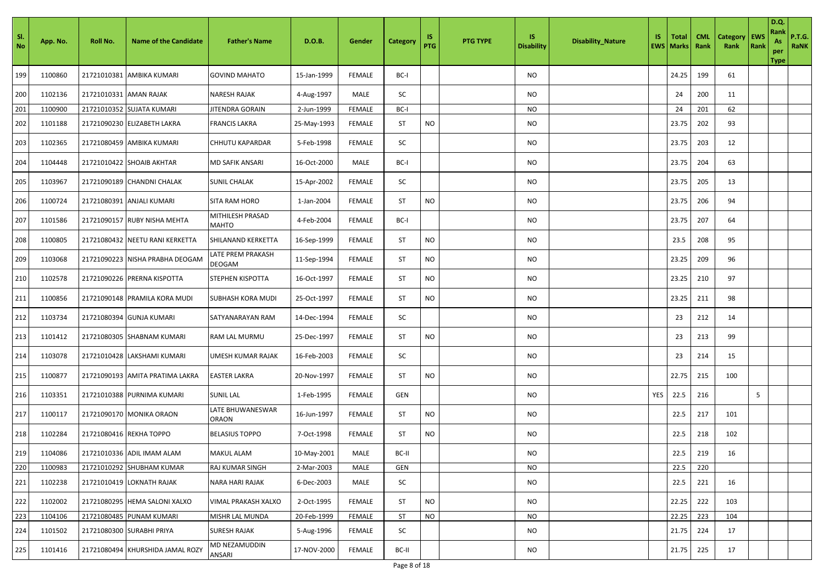| Sl.<br>No | App. No. | Roll No.               | <b>Name of the Candidate</b>     | <b>Father's Name</b>             | D.O.B.      | Gender        | Category  | 1S<br>PTG | <b>PTG TYPE</b> | <b>IS</b><br><b>Disability</b> | <b>Disability_Nature</b> | IS. | Total<br><b>EWS   Marks</b> | <b>CML</b><br>Rank | Category<br>Rank | <b>EWS</b><br>Rank | <b>D.Q.</b><br>Rank<br>As<br>per<br><b>Type</b> | <b>P.T.G.</b><br><b>RaNK</b> |
|-----------|----------|------------------------|----------------------------------|----------------------------------|-------------|---------------|-----------|-----------|-----------------|--------------------------------|--------------------------|-----|-----------------------------|--------------------|------------------|--------------------|-------------------------------------------------|------------------------------|
| 199       | 1100860  | 21721010381            | AMBIKA KUMARI                    | <b>GOVIND MAHATO</b>             | 15-Jan-1999 | <b>FEMALE</b> | BC-I      |           |                 | <b>NO</b>                      |                          |     | 24.25                       | 199                | 61               |                    |                                                 |                              |
| 200       | 1102136  | 21721010331 AMAN RAJAK |                                  | <b>NARESH RAJAK</b>              | 4-Aug-1997  | MALE          | SC        |           |                 | NO                             |                          |     | 24                          | 200                | 11               |                    |                                                 |                              |
| 201       | 1100900  | 21721010352            | <b>SUJATA KUMARI</b>             | JITENDRA GORAIN                  | 2-Jun-1999  | <b>FEMALE</b> | BC-I      |           |                 | <b>NO</b>                      |                          |     | 24                          | 201                | 62               |                    |                                                 |                              |
| 202       | 1101188  |                        | 21721090230 ELIZABETH LAKRA      | <b>FRANCIS LAKRA</b>             | 25-May-1993 | <b>FEMALE</b> | <b>ST</b> | <b>NO</b> |                 | NO                             |                          |     | 23.75                       | 202                | 93               |                    |                                                 |                              |
| 203       | 1102365  |                        | 21721080459 AMBIKA KUMARI        | CHHUTU KAPARDAR                  | 5-Feb-1998  | <b>FEMALE</b> | SC        |           |                 | NO.                            |                          |     | 23.75                       | 203                | 12               |                    |                                                 |                              |
| 204       | 1104448  |                        | 21721010422 SHOAIB AKHTAR        | MD SAFIK ANSARI                  | 16-Oct-2000 | MALE          | BC-I      |           |                 | NO                             |                          |     | 23.75                       | 204                | 63               |                    |                                                 |                              |
| 205       | 1103967  |                        | 21721090189 CHANDNI CHALAK       | <b>SUNIL CHALAK</b>              | 15-Apr-2002 | <b>FEMALE</b> | SC        |           |                 | NO                             |                          |     | 23.75                       | 205                | 13               |                    |                                                 |                              |
| 206       | 1100724  |                        | 21721080391 ANJALI KUMARI        | SITA RAM HORO                    | 1-Jan-2004  | <b>FEMALE</b> | ST        | <b>NO</b> |                 | NO                             |                          |     | 23.75                       | 206                | 94               |                    |                                                 |                              |
| 207       | 1101586  |                        | 21721090157 RUBY NISHA MEHTA     | MITHILESH PRASAD<br><b>MAHTO</b> | 4-Feb-2004  | <b>FEMALE</b> | BC-I      |           |                 | NO.                            |                          |     | 23.75                       | 207                | 64               |                    |                                                 |                              |
| 208       | 1100805  |                        | 21721080432 NEETU RANI KERKETTA  | SHILANAND KERKETTA               | 16-Sep-1999 | <b>FEMALE</b> | <b>ST</b> | <b>NO</b> |                 | <b>NO</b>                      |                          |     | 23.5                        | 208                | 95               |                    |                                                 |                              |
| 209       | 1103068  |                        | 21721090223  NISHA PRABHA DEOGAM | LATE PREM PRAKASH<br>DEOGAM      | 11-Sep-1994 | <b>FEMALE</b> | ST        | NO.       |                 | <b>NO</b>                      |                          |     | 23.25                       | 209                | 96               |                    |                                                 |                              |
| 210       | 1102578  |                        | 21721090226 PRERNA KISPOTTA      | <b>STEPHEN KISPOTTA</b>          | 16-Oct-1997 | <b>FEMALE</b> | ST        | <b>NO</b> |                 | NO                             |                          |     | 23.25                       | 210                | 97               |                    |                                                 |                              |
| 211       | 1100856  |                        | 21721090148 PRAMILA KORA MUDI    | <b>SUBHASH KORA MUDI</b>         | 25-Oct-1997 | <b>FEMALE</b> | ST        | NO.       |                 | NO                             |                          |     | 23.25                       | 211                | 98               |                    |                                                 |                              |
| 212       | 1103734  |                        | 21721080394 GUNJA KUMARI         | SATYANARAYAN RAM                 | 14-Dec-1994 | <b>FEMALE</b> | SC        |           |                 | NO                             |                          |     | 23                          | 212                | 14               |                    |                                                 |                              |
| 213       | 1101412  |                        | 21721080305 SHABNAM KUMARI       | RAM LAL MURMU                    | 25-Dec-1997 | <b>FEMALE</b> | <b>ST</b> | <b>NO</b> |                 | NO                             |                          |     | 23                          | 213                | 99               |                    |                                                 |                              |
| 214       | 1103078  |                        | 21721010428 LAKSHAMI KUMARI      | UMESH KUMAR RAJAK                | 16-Feb-2003 | <b>FEMALE</b> | SC        |           |                 | NO                             |                          |     | 23                          | 214                | 15               |                    |                                                 |                              |
| 215       | 1100877  |                        | 21721090193 AMITA PRATIMA LAKRA  | <b>EASTER LAKRA</b>              | 20-Nov-1997 | <b>FEMALE</b> | ST        | <b>NO</b> |                 | NO.                            |                          |     | 22.75                       | 215                | 100              |                    |                                                 |                              |
| 216       | 1103351  |                        | 21721010388 PURNIMA KUMARI       | <b>SUNIL LAL</b>                 | 1-Feb-1995  | <b>FEMALE</b> | GEN       |           |                 | NO.                            |                          | YES | 22.5                        | 216                |                  | 5                  |                                                 |                              |
| 217       | 1100117  |                        | 21721090170 MONIKA ORAON         | LATE BHUWANESWAR<br><b>ORAON</b> | 16-Jun-1997 | <b>FEMALE</b> | ST        | <b>NO</b> |                 | NO.                            |                          |     | 22.5                        | 217                | 101              |                    |                                                 |                              |
| 218       | 1102284  |                        | 21721080416 REKHA TOPPO          | <b>BELASIUS TOPPO</b>            | 7-Oct-1998  | <b>FEMALE</b> | <b>ST</b> | <b>NO</b> |                 | <b>NO</b>                      |                          |     | 22.5                        | 218                | 102              |                    |                                                 |                              |
| 219       | 1104086  |                        | 21721010336 ADIL IMAM ALAM       | <b>MAKUL ALAM</b>                | 10-May-2001 | MALE          | BC-II     |           |                 | NO                             |                          |     | 22.5                        | 219                | 16               |                    |                                                 |                              |
| 220       | 1100983  |                        | 21721010292 SHUBHAM KUMAR        | <b>RAJ KUMAR SINGH</b>           | 2-Mar-2003  | MALE          | GEN       |           |                 | NO                             |                          |     | 22.5                        | 220                |                  |                    |                                                 |                              |
| 221       | 1102238  |                        | 21721010419 LOKNATH RAJAK        | <b>NARA HARI RAJAK</b>           | 6-Dec-2003  | MALE          | SC        |           |                 | NO                             |                          |     | 22.5                        | 221                | 16               |                    |                                                 |                              |
| 222       | 1102002  |                        | 21721080295 HEMA SALONI XALXO    | VIMAL PRAKASH XALXO              | 2-Oct-1995  | <b>FEMALE</b> | ST        | $\rm NO$  |                 | NO                             |                          |     | 22.25                       | 222                | 103              |                    |                                                 |                              |
| 223       | 1104106  |                        | 21721080485 PUNAM KUMARI         | MISHR LAL MUNDA                  | 20-Feb-1999 | <b>FEMALE</b> | <b>ST</b> | <b>NO</b> |                 | NO.                            |                          |     | 22.25                       | 223                | 104              |                    |                                                 |                              |
| 224       | 1101502  |                        | 21721080300 SURABHI PRIYA        | <b>SURESH RAJAK</b>              | 5-Aug-1996  | FEMALE        | SC        |           |                 | NO                             |                          |     | 21.75                       | 224                | 17               |                    |                                                 |                              |
| 225       | 1101416  |                        | 21721080494 KHURSHIDA JAMAL ROZY | MD NEZAMUDDIN<br>ANSARI          | 17-NOV-2000 | <b>FEMALE</b> | BC-II     |           |                 | NO                             |                          |     | 21.75                       | 225                | 17               |                    |                                                 |                              |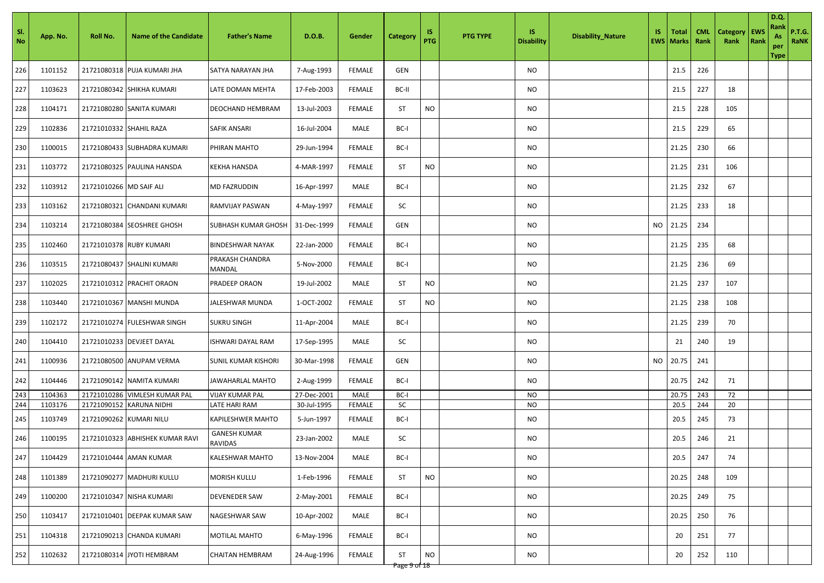| SI.<br>No | App. No. | Roll No.                | <b>Name of the Candidate</b>    | <b>Father's Name</b>                     | D.O.B.      | Gender        | Category                  | 1S<br>PTG | <b>PTG TYPE</b> | IS.<br><b>Disability</b> | <b>Disability_Nature</b> | IS.       | <b>Total</b><br><b>EWS   Marks</b> | <b>CML</b><br>Rank | <b>Category</b><br>Rank | EWS<br>Rank | D.Q.<br>Rank<br>As<br>per<br><b>Type</b> | <b>P.T.G.</b><br>RaNK |
|-----------|----------|-------------------------|---------------------------------|------------------------------------------|-------------|---------------|---------------------------|-----------|-----------------|--------------------------|--------------------------|-----------|------------------------------------|--------------------|-------------------------|-------------|------------------------------------------|-----------------------|
| 226       | 1101152  |                         | 21721080318 PUJA KUMARI JHA     | SATYA NARAYAN JHA                        | 7-Aug-1993  | <b>FEMALE</b> | GEN                       |           |                 | NO                       |                          |           | 21.5                               | 226                |                         |             |                                          |                       |
| 227       | 1103623  |                         | 21721080342 SHIKHA KUMARI       | LATE DOMAN MEHTA                         | 17-Feb-2003 | <b>FEMALE</b> | BC-II                     |           |                 | NO                       |                          |           | 21.5                               | 227                | 18                      |             |                                          |                       |
| 228       | 1104171  |                         | 21721080280 SANITA KUMARI       | DEOCHAND HEMBRAM                         | 13-Jul-2003 | <b>FEMALE</b> | <b>ST</b>                 | <b>NO</b> |                 | NO                       |                          |           | 21.5                               | 228                | 105                     |             |                                          |                       |
| 229       | 1102836  | 21721010332 SHAHIL RAZA |                                 | <b>SAFIK ANSARI</b>                      | 16-Jul-2004 | MALE          | BC-I                      |           |                 | <b>NO</b>                |                          |           | 21.5                               | 229                | 65                      |             |                                          |                       |
| 230       | 1100015  |                         | 21721080433 SUBHADRA KUMARI     | PHIRAN MAHTO                             | 29-Jun-1994 | <b>FEMALE</b> | BC-I                      |           |                 | NO.                      |                          |           | 21.25                              | 230                | 66                      |             |                                          |                       |
| 231       | 1103772  |                         | 21721080325 PAULINA HANSDA      | KEKHA HANSDA                             | 4-MAR-1997  | <b>FEMALE</b> | ST                        | <b>NO</b> |                 | NO                       |                          |           | 21.25                              | 231                | 106                     |             |                                          |                       |
| 232       | 1103912  | 21721010266 MD SAIF ALI |                                 | MD FAZRUDDIN                             | 16-Apr-1997 | MALE          | BC-I                      |           |                 | NO                       |                          |           | 21.25                              | 232                | 67                      |             |                                          |                       |
| 233       | 1103162  |                         | 21721080321 CHANDANI KUMARI     | RAMVIJAY PASWAN                          | 4-May-1997  | <b>FEMALE</b> | SC                        |           |                 | NO                       |                          |           | 21.25                              | 233                | 18                      |             |                                          |                       |
| 234       | 1103214  |                         | 21721080384 SEOSHREE GHOSH      | SUBHASH KUMAR GHOSH                      | 31-Dec-1999 | <b>FEMALE</b> | GEN                       |           |                 | NO                       |                          | <b>NO</b> | 21.25                              | 234                |                         |             |                                          |                       |
| 235       | 1102460  |                         | 21721010378 RUBY KUMARI         | <b>BINDESHWAR NAYAK</b>                  | 22-Jan-2000 | <b>FEMALE</b> | BC-I                      |           |                 | NO                       |                          |           | 21.25                              | 235                | 68                      |             |                                          |                       |
| 236       | 1103515  |                         | 21721080437 SHALINI KUMARI      | PRAKASH CHANDRA<br>MANDAL                | 5-Nov-2000  | <b>FEMALE</b> | BC-I                      |           |                 | NO                       |                          |           | 21.25                              | 236                | 69                      |             |                                          |                       |
| 237       | 1102025  |                         | 21721010312 PRACHIT ORAON       | PRADEEP ORAON                            | 19-Jul-2002 | MALE          | ST                        | <b>NO</b> |                 | NO                       |                          |           | 21.25                              | 237                | 107                     |             |                                          |                       |
| 238       | 1103440  |                         | 21721010367 MANSHI MUNDA        | JALESHWAR MUNDA                          | 1-OCT-2002  | <b>FEMALE</b> | <b>ST</b>                 | <b>NO</b> |                 | NO                       |                          |           | 21.25                              | 238                | 108                     |             |                                          |                       |
| 239       | 1102172  |                         | 21721010274 FULESHWAR SINGH     | <b>SUKRU SINGH</b>                       | 11-Apr-2004 | MALE          | BC-I                      |           |                 | <b>NO</b>                |                          |           | 21.25                              | 239                | 70                      |             |                                          |                       |
| 240       | 1104410  |                         | 21721010233 DEVJEET DAYAL       | ISHWARI DAYAL RAM                        | 17-Sep-1995 | MALE          | SC                        |           |                 | NO.                      |                          |           | 21                                 | 240                | 19                      |             |                                          |                       |
| 241       | 1100936  |                         | 21721080500 ANUPAM VERMA        | <b>SUNIL KUMAR KISHORI</b>               | 30-Mar-1998 | <b>FEMALE</b> | GEN                       |           |                 | NO                       |                          | <b>NO</b> | 20.75                              | 241                |                         |             |                                          |                       |
| 242       | 1104446  |                         | 21721090142 NAMITA KUMARI       | <b>JAWAHARLAL MAHTO</b>                  | 2-Aug-1999  | <b>FEMALE</b> | BC-I                      |           |                 | NO                       |                          |           | 20.75                              | 242                | 71                      |             |                                          |                       |
| 243       | 1104363  |                         | 21721010286 VIMLESH KUMAR PAL   | <b>VIJAY KUMAR PAL</b>                   | 27-Dec-2001 | MALE          | BC-I                      |           |                 | NO                       |                          |           | 20.75                              | 243                | 72                      |             |                                          |                       |
| 244       | 1103176  |                         | 21721090152 KARUNA NIDHI        | LATE HARI RAM                            | 30-Jul-1995 | <b>FEMALE</b> | SC                        |           |                 | <b>NO</b>                |                          |           | 20.5                               | 244                | 20                      |             |                                          |                       |
| 245       | 1103749  | 21721090262 KUMARI NILU |                                 | KAPILESHWER MAHTO<br><b>GANESH KUMAR</b> | 5-Jun-1997  | <b>FEMALE</b> | BC-I                      |           |                 | NO                       |                          |           | 20.5                               | 245                | 73                      |             |                                          |                       |
| 246       | 1100195  |                         | 21721010323 ABHISHEK KUMAR RAVI | RAVIDAS                                  | 23-Jan-2002 | MALE          | SC                        |           |                 | NO                       |                          |           | 20.5                               | 246                | 21                      |             |                                          |                       |
| 247       | 1104429  |                         | 21721010444 AMAN KUMAR          | KALESHWAR MAHTO                          | 13-Nov-2004 | MALE          | BC-I                      |           |                 | <b>NO</b>                |                          |           | 20.5                               | 247                | 74                      |             |                                          |                       |
| 248       | 1101389  |                         | 21721090277 MADHURI KULLU       | MORISH KULLU                             | 1-Feb-1996  | <b>FEMALE</b> | ST                        | <b>NO</b> |                 | NO                       |                          |           | 20.25                              | 248                | 109                     |             |                                          |                       |
| 249       | 1100200  |                         | 21721010347 NISHA KUMARI        | DEVENEDER SAW                            | 2-May-2001  | <b>FEMALE</b> | BC-I                      |           |                 | NO                       |                          |           | 20.25                              | 249                | 75                      |             |                                          |                       |
| 250       | 1103417  |                         | 21721010401 DEEPAK KUMAR SAW    | NAGESHWAR SAW                            | 10-Apr-2002 | MALE          | BC-I                      |           |                 | <b>NO</b>                |                          |           | 20.25                              | 250                | 76                      |             |                                          |                       |
| 251       | 1104318  |                         | 21721090213 CHANDA KUMARI       | MOTILAL MAHTO                            | 6-May-1996  | <b>FEMALE</b> | BC-I                      |           |                 | NO                       |                          |           | 20                                 | 251                | 77                      |             |                                          |                       |
| 252       | 1102632  |                         | 21721080314 JYOTI HEMBRAM       | <b>CHAITAN HEMBRAM</b>                   | 24-Aug-1996 | <b>FEMALE</b> | <b>ST</b><br>Page 9 of 18 | <b>NO</b> |                 | NO                       |                          |           | 20                                 | 252                | 110                     |             |                                          |                       |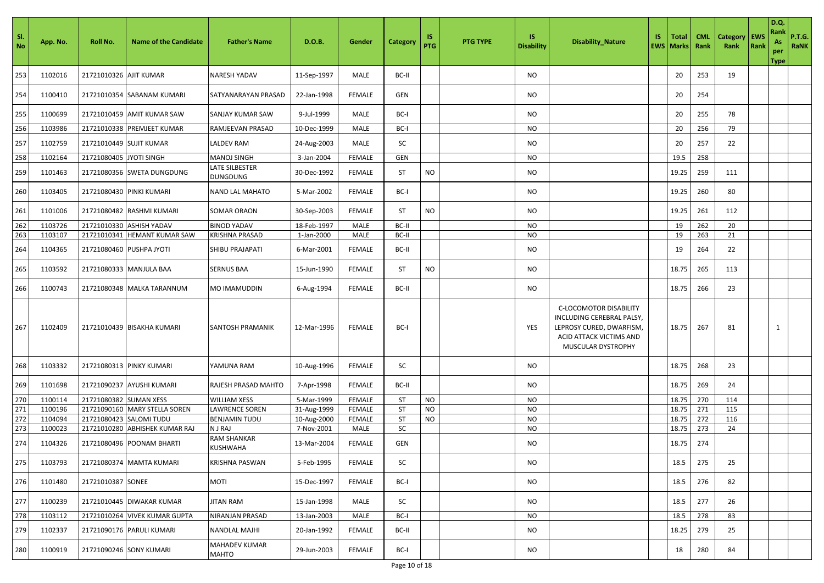| SI.<br>No | App. No. | Roll No.                 | <b>Name of the Candidate</b>   | <b>Father's Name</b>              | D.O.B.      | Gender        | Category   | IS<br><b>PTG</b> | <b>PTG TYPE</b> | <b>IS</b><br><b>Disability</b> | <b>Disability_Nature</b>                                                                                                         | IS. | <b>Total</b><br><b>EWS   Marks</b> | <b>CML</b><br>Rank | <b>Category</b><br>Rank | <b>EWS</b><br>Rank | D.Q.<br>Rank<br>As<br>per<br>Type | <b>P.T.G.</b><br><b>RaNK</b> |
|-----------|----------|--------------------------|--------------------------------|-----------------------------------|-------------|---------------|------------|------------------|-----------------|--------------------------------|----------------------------------------------------------------------------------------------------------------------------------|-----|------------------------------------|--------------------|-------------------------|--------------------|-----------------------------------|------------------------------|
| 253       | 1102016  | 21721010326 AJIT KUMAR   |                                | NARESH YADAV                      | 11-Sep-1997 | MALE          | BC-II      |                  |                 | <b>NO</b>                      |                                                                                                                                  |     | 20                                 | 253                | 19                      |                    |                                   |                              |
| 254       | 1100410  |                          | 21721010354 SABANAM KUMARI     | SATYANARAYAN PRASAD               | 22-Jan-1998 | <b>FEMALE</b> | GEN        |                  |                 | NO                             |                                                                                                                                  |     | 20                                 | 254                |                         |                    |                                   |                              |
| 255       | 1100699  |                          | 21721010459 AMIT KUMAR SAW     | SANJAY KUMAR SAW                  | 9-Jul-1999  | MALE          | BC-I       |                  |                 | NO.                            |                                                                                                                                  |     | 20                                 | 255                | 78                      |                    |                                   |                              |
| 256       | 1103986  |                          | 21721010338 PREMJEET KUMAR     | RAMJEEVAN PRASAD                  | 10-Dec-1999 | MALE          | BC-I       |                  |                 | NO                             |                                                                                                                                  |     | 20                                 | 256                | 79                      |                    |                                   |                              |
| 257       | 1102759  | 21721010449 SUJIT KUMAR  |                                | LALDEV RAM                        | 24-Aug-2003 | MALE          | SC         |                  |                 | NO                             |                                                                                                                                  |     | 20                                 | 257                | 22                      |                    |                                   |                              |
| 258       | 1102164  | 21721080405 JYOTI SINGH  |                                | MANOJ SINGH                       | 3-Jan-2004  | <b>FEMALE</b> | GEN        |                  |                 | NO                             |                                                                                                                                  |     | 19.5                               | 258                |                         |                    |                                   |                              |
| 259       | 1101463  |                          | 21721080356 SWETA DUNGDUNG     | LATE SILBESTER<br><b>DUNGDUNG</b> | 30-Dec-1992 | <b>FEMALE</b> | <b>ST</b>  | <b>NO</b>        |                 | NO                             |                                                                                                                                  |     | 19.25                              | 259                | 111                     |                    |                                   |                              |
| 260       | 1103405  |                          | 21721080430 PINKI KUMARI       | <b>NAND LAL MAHATO</b>            | 5-Mar-2002  | <b>FEMALE</b> | BC-I       |                  |                 | NO                             |                                                                                                                                  |     | 19.25                              | 260                | 80                      |                    |                                   |                              |
| 261       | 1101006  |                          | 21721080482 RASHMI KUMARI      | SOMAR ORAON                       | 30-Sep-2003 | <b>FEMALE</b> | <b>ST</b>  | <b>NO</b>        |                 | NO                             |                                                                                                                                  |     | 19.25                              | 261                | 112                     |                    |                                   |                              |
| 262       | 1103726  | 21721010330              | <b>ASHISH YADAV</b>            | <b>BINOD YADAV</b>                | 18-Feb-1997 | MALE          | BC-II      |                  |                 | NO                             |                                                                                                                                  |     | 19                                 | 262                | 20                      |                    |                                   |                              |
| 263       | 1103107  | 21721010341              | <b>HEMANT KUMAR SAW</b>        | KRISHNA PRASAD                    | 1-Jan-2000  | MALE          | BC-II      |                  |                 | <b>NO</b>                      |                                                                                                                                  |     | 19                                 | 263                | 21                      |                    |                                   |                              |
| 264       | 1104365  | 21721080460 PUSHPA JYOTI |                                | SHIBU PRAJAPATI                   | 6-Mar-2001  | <b>FEMALE</b> | BC-II      |                  |                 | NO                             |                                                                                                                                  |     | 19                                 | 264                | 22                      |                    |                                   |                              |
| 265       | 1103592  | 21721080333              | <b>MANJULA BAA</b>             | <b>SERNUS BAA</b>                 | 15-Jun-1990 | <b>FEMALE</b> | <b>ST</b>  | <b>NO</b>        |                 | <b>NO</b>                      |                                                                                                                                  |     | 18.75                              | 265                | 113                     |                    |                                   |                              |
| 266       | 1100743  |                          | 21721080348 MALKA TARANNUM     | MO IMAMUDDIN                      | 6-Aug-1994  | <b>FEMALE</b> | BC-II      |                  |                 | NO                             |                                                                                                                                  |     | 18.75                              | 266                | 23                      |                    |                                   |                              |
| 267       | 1102409  |                          | 21721010439 BISAKHA KUMARI     | <b>SANTOSH PRAMANIK</b>           | 12-Mar-1996 | <b>FEMALE</b> | BC-I       |                  |                 | YES                            | C-LOCOMOTOR DISABILITY<br>INCLUDING CEREBRAL PALSY,<br>LEPROSY CURED, DWARFISM,<br>ACID ATTACK VICTIMS AND<br>MUSCULAR DYSTROPHY |     | 18.75                              | 267                | 81                      |                    | 1                                 |                              |
| 268       | 1103332  |                          | 21721080313 PINKY KUMARI       | YAMUNA RAM                        | 10-Aug-1996 | <b>FEMALE</b> | SC         |                  |                 | <b>NO</b>                      |                                                                                                                                  |     | 18.75                              | 268                | 23                      |                    |                                   |                              |
| 269       | 1101698  |                          | 21721090237 AYUSHI KUMARI      | RAJESH PRASAD MAHTO               | 7-Apr-1998  | <b>FEMALE</b> | BC-II      |                  |                 | NO                             |                                                                                                                                  |     | 18.75                              | 269                | 24                      |                    |                                   |                              |
| 270       | 1100114  | 21721080382 SUMAN XESS   |                                | <b>WILLIAM XESS</b>               | 5-Mar-1999  | <b>FEMALE</b> | ST         | <b>NO</b>        |                 | NO                             |                                                                                                                                  |     | 18.75                              | 270                | 114                     |                    |                                   |                              |
| 271       | 1100196  |                          | 21721090160 MARY STELLA SOREN  | <b>LAWRENCE SOREN</b>             | 31-Aug-1999 | <b>FEMALE</b> | <b>ST</b>  | <b>NO</b>        |                 | <b>NO</b>                      |                                                                                                                                  |     | 18.75                              | 271                | 115                     |                    |                                   |                              |
| 272       | 1104094  | 21721080423              | <b>SALOMI TUDU</b>             | <b>BENJAMIN TUDU</b>              | 10-Aug-2000 | <b>FEMALE</b> | <b>ST</b>  | <b>NO</b>        |                 | <b>NO</b>                      |                                                                                                                                  |     | 18.75                              | 272                | 116                     |                    |                                   |                              |
| 273       | 1100023  |                          | 21721010280 ABHISHEK KUMAR RAJ | <b>NJRAJ</b>                      | 7-Nov-2001  | MALE          | SC         |                  |                 | NO                             |                                                                                                                                  |     | 18.75                              | 273                | 24                      |                    |                                   |                              |
| 274       | 1104326  |                          | 21721080496 POONAM BHARTI      | <b>RAM SHANKAR</b><br>KUSHWAHA    | 13-Mar-2004 | <b>FEMALE</b> | <b>GEN</b> |                  |                 | NO                             |                                                                                                                                  |     | 18.75                              | 274                |                         |                    |                                   |                              |
| 275       | 1103793  |                          | 21721080374 MAMTA KUMARI       | <b>KRISHNA PASWAN</b>             | 5-Feb-1995  | <b>FEMALE</b> | SC         |                  |                 | <b>NO</b>                      |                                                                                                                                  |     | 18.5                               | 275                | 25                      |                    |                                   |                              |
| 276       | 1101480  | 21721010387 SONEE        |                                | MOTI                              | 15-Dec-1997 | <b>FEMALE</b> | BC-I       |                  |                 | NO                             |                                                                                                                                  |     | 18.5                               | 276                | 82                      |                    |                                   |                              |
| 277       | 1100239  |                          | 21721010445 DIWAKAR KUMAR      | JITAN RAM                         | 15-Jan-1998 | MALE          | SC         |                  |                 | <b>NO</b>                      |                                                                                                                                  |     | 18.5                               | 277                | 26                      |                    |                                   |                              |
| 278       | 1103112  |                          | 21721010264 VIVEK KUMAR GUPTA  | NIRANJAN PRASAD                   | 13-Jan-2003 | MALE          | BC-I       |                  |                 | NO                             |                                                                                                                                  |     | 18.5                               | 278                | 83                      |                    |                                   |                              |
| 279       | 1102337  |                          | 21721090176 PARULI KUMARI      | NANDLAL MAJHI                     | 20-Jan-1992 | <b>FEMALE</b> | BC-II      |                  |                 | <b>NO</b>                      |                                                                                                                                  |     | 18.25                              | 279                | 25                      |                    |                                   |                              |
| 280       | 1100919  |                          | 21721090246 SONY KUMARI        | MAHADEV KUMAR<br>MAHTO            | 29-Jun-2003 | <b>FEMALE</b> | BC-I       |                  |                 | NO                             |                                                                                                                                  |     | 18                                 | 280                | 84                      |                    |                                   |                              |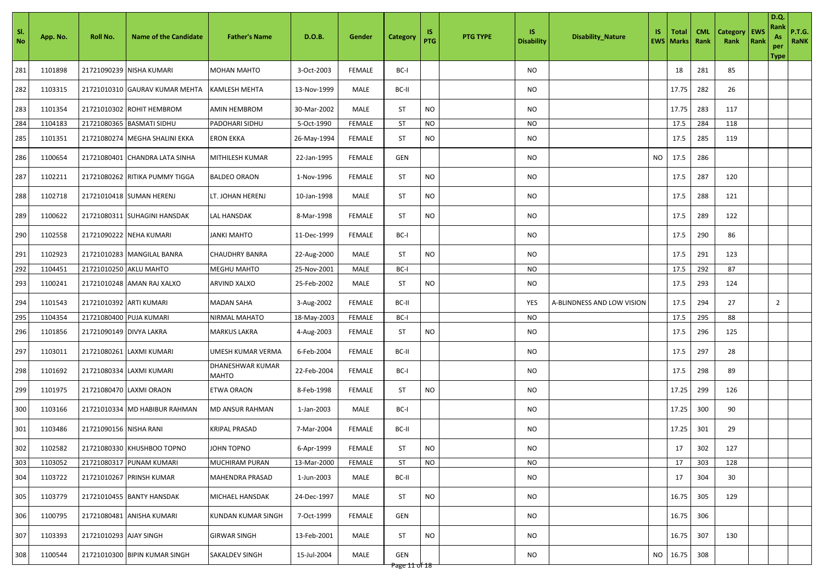| SI.<br>No | App. No. | <b>Roll No.</b>         | <b>Name of the Candidate</b>   | <b>Father's Name</b>      | D.O.B.      | Gender        | Category             | IS.<br>PTG | <b>PTG TYPE</b> | IS.<br><b>Disability</b> | <b>Disability_Nature</b>   | IS | Total<br><b>EWS</b> Marks | <b>CML</b><br>Rank | Category<br>Rank | <b>EWS</b><br>Rank | D.Q.<br>Rank<br>As<br>per<br>Type | <b>P.T.G.</b><br>RaNK |
|-----------|----------|-------------------------|--------------------------------|---------------------------|-------------|---------------|----------------------|------------|-----------------|--------------------------|----------------------------|----|---------------------------|--------------------|------------------|--------------------|-----------------------------------|-----------------------|
| 281       | 1101898  |                         | 21721090239 NISHA KUMARI       | MOHAN MAHTO               | 3-Oct-2003  | <b>FEMALE</b> | BC-I                 |            |                 | NO                       |                            |    | 18                        | 281                | 85               |                    |                                   |                       |
| 282       | 1103315  |                         | 21721010310 GAURAV KUMAR MEHTA | KAMLESH MEHTA             | 13-Nov-1999 | MALE          | BC-II                |            |                 | NO.                      |                            |    | 17.75                     | 282                | 26               |                    |                                   |                       |
| 283       | 1101354  |                         | 21721010302 ROHIT HEMBROM      | AMIN HEMBROM              | 30-Mar-2002 | MALE          | <b>ST</b>            | <b>NO</b>  |                 | NO                       |                            |    | 17.75                     | 283                | 117              |                    |                                   |                       |
| 284       | 1104183  |                         | 21721080365 BASMATI SIDHU      | PADOHARI SIDHU            | 5-Oct-1990  | <b>FEMALE</b> | ST                   | <b>NO</b>  |                 | NO                       |                            |    | 17.5                      | 284                | 118              |                    |                                   |                       |
| 285       | 1101351  |                         | 21721080274 MEGHA SHALINI EKKA | ERON EKKA                 | 26-May-1994 | <b>FEMALE</b> | <b>ST</b>            | <b>NO</b>  |                 | <b>NO</b>                |                            |    | 17.5                      | 285                | 119              |                    |                                   |                       |
| 286       | 1100654  |                         | 21721080401 CHANDRA LATA SINHA | MITHILESH KUMAR           | 22-Jan-1995 | <b>FEMALE</b> | GEN                  |            |                 | <b>NO</b>                |                            | NO | 17.5                      | 286                |                  |                    |                                   |                       |
| 287       | 1102211  |                         | 21721080262 RITIKA PUMMY TIGGA | <b>BALDEO ORAON</b>       | 1-Nov-1996  | <b>FEMALE</b> | ST                   | <b>NO</b>  |                 | <b>NO</b>                |                            |    | 17.5                      | 287                | 120              |                    |                                   |                       |
| 288       | 1102718  |                         | 21721010418 SUMAN HERENJ       | LT. JOHAN HERENJ          | 10-Jan-1998 | MALE          | <b>ST</b>            | <b>NO</b>  |                 | NO                       |                            |    | 17.5                      | 288                | 121              |                    |                                   |                       |
| 289       | 1100622  |                         | 21721080311 SUHAGINI HANSDAK   | LAL HANSDAK               | 8-Mar-1998  | <b>FEMALE</b> | <b>ST</b>            | <b>NO</b>  |                 | <b>NO</b>                |                            |    | 17.5                      | 289                | 122              |                    |                                   |                       |
| 290       | 1102558  |                         | 21721090222 NEHA KUMARI        | <b>JANKI MAHTO</b>        | 11-Dec-1999 | <b>FEMALE</b> | BC-I                 |            |                 | NO                       |                            |    | 17.5                      | 290                | 86               |                    |                                   |                       |
| 291       | 1102923  |                         | 21721010283 MANGILAL BANRA     | <b>CHAUDHRY BANRA</b>     | 22-Aug-2000 | MALE          | ST                   | <b>NO</b>  |                 | NO                       |                            |    | 17.5                      | 291                | 123              |                    |                                   |                       |
| 292       | 1104451  | 21721010250 AKLU MAHTO  |                                | <b>MEGHU MAHTO</b>        | 25-Nov-2001 | MALE          | BC-I                 |            |                 | NO                       |                            |    | 17.5                      | 292                | 87               |                    |                                   |                       |
| 293       | 1100241  |                         | 21721010248 AMAN RAJ XALXO     | ARVIND XALXO              | 25-Feb-2002 | MALE          | <b>ST</b>            | <b>NO</b>  |                 | NO                       |                            |    | 17.5                      | 293                | 124              |                    |                                   |                       |
| 294       | 1101543  | 21721010392 ARTI KUMARI |                                | <b>MADAN SAHA</b>         | 3-Aug-2002  | <b>FEMALE</b> | BC-II                |            |                 | YES                      | A-BLINDNESS AND LOW VISION |    | 17.5                      | 294                | 27               |                    | $\overline{2}$                    |                       |
| 295       | 1104354  | 21721080400 PUJA KUMARI |                                | NIRMAL MAHATO             | 18-May-2003 | <b>FEMALE</b> | BC-I                 |            |                 | <b>NO</b>                |                            |    | 17.5                      | 295                | 88               |                    |                                   |                       |
| 296       | 1101856  | 21721090149 DIVYA LAKRA |                                | <b>MARKUS LAKRA</b>       | 4-Aug-2003  | <b>FEMALE</b> | ST                   | <b>NO</b>  |                 | NO                       |                            |    | 17.5                      | 296                | 125              |                    |                                   |                       |
| 297       | 1103011  |                         | 21721080261 LAXMI KUMARI       | UMESH KUMAR VERMA         | 6-Feb-2004  | <b>FEMALE</b> | BC-II                |            |                 | <b>NO</b>                |                            |    | 17.5                      | 297                | 28               |                    |                                   |                       |
| 298       | 1101692  |                         | 21721080334 LAXMI KUMARI       | DHANESHWAR KUMAR<br>MAHTO | 22-Feb-2004 | <b>FEMALE</b> | BC-I                 |            |                 | NO                       |                            |    | 17.5                      | 298                | 89               |                    |                                   |                       |
| 299       | 1101975  |                         | 21721080470 LAXMI ORAON        | <b>ETWA ORAON</b>         | 8-Feb-1998  | <b>FEMALE</b> | ST                   | <b>NO</b>  |                 | NO.                      |                            |    | 17.25                     | 299                | 126              |                    |                                   |                       |
| 300       | 1103166  |                         | 21721010334 MD HABIBUR RAHMAN  | MD ANSUR RAHMAN           | 1-Jan-2003  | MALE          | BC-I                 |            |                 | NO                       |                            |    | 17.25                     | 300                | 90               |                    |                                   |                       |
| 301       | 1103486  | 21721090156 NISHA RANI  |                                | KRIPAL PRASAD             | 7-Mar-2004  | FEMALE        | BC-II                |            |                 | NO                       |                            |    | 17.25                     | 301                | 29               |                    |                                   |                       |
| 302       | 1102582  |                         | 21721080330 KHUSHBOO TOPNO     | JOHN TOPNO                | 6-Apr-1999  | <b>FEMALE</b> | ST                   | <b>NO</b>  |                 | NO                       |                            |    | 17                        | 302                | 127              |                    |                                   |                       |
| 303       | 1103052  |                         | 21721080317 PUNAM KUMARI       | <b>MUCHIRAM PURAN</b>     | 13-Mar-2000 | <b>FEMALE</b> | ST                   | <b>NO</b>  |                 | <b>NO</b>                |                            |    | 17                        | 303                | 128              |                    |                                   |                       |
| 304       | 1103722  |                         | 21721010267 PRINSH KUMAR       | MAHENDRA PRASAD           | 1-Jun-2003  | MALE          | BC-II                |            |                 | NO                       |                            |    | 17                        | 304                | 30               |                    |                                   |                       |
| 305       | 1103779  |                         | 21721010455 BANTY HANSDAK      | MICHAEL HANSDAK           | 24-Dec-1997 | MALE          | <b>ST</b>            | <b>NO</b>  |                 | NO                       |                            |    | 16.75                     | 305                | 129              |                    |                                   |                       |
| 306       | 1100795  |                         | 21721080481 ANISHA KUMARI      | <b>KUNDAN KUMAR SINGH</b> | 7-Oct-1999  | <b>FEMALE</b> | GEN                  |            |                 | NO                       |                            |    | 16.75                     | 306                |                  |                    |                                   |                       |
| 307       | 1103393  | 21721010293 AJAY SINGH  |                                | <b>GIRWAR SINGH</b>       | 13-Feb-2001 | MALE          | ST                   | <b>NO</b>  |                 | NO.                      |                            |    | 16.75                     | 307                | 130              |                    |                                   |                       |
| 308       | 1100544  |                         | 21721010300 BIPIN KUMAR SINGH  | SAKALDEV SINGH            | 15-Jul-2004 | MALE          | GEN<br>Page 11 of 18 |            |                 | NO                       |                            | NO | 16.75                     | 308                |                  |                    |                                   |                       |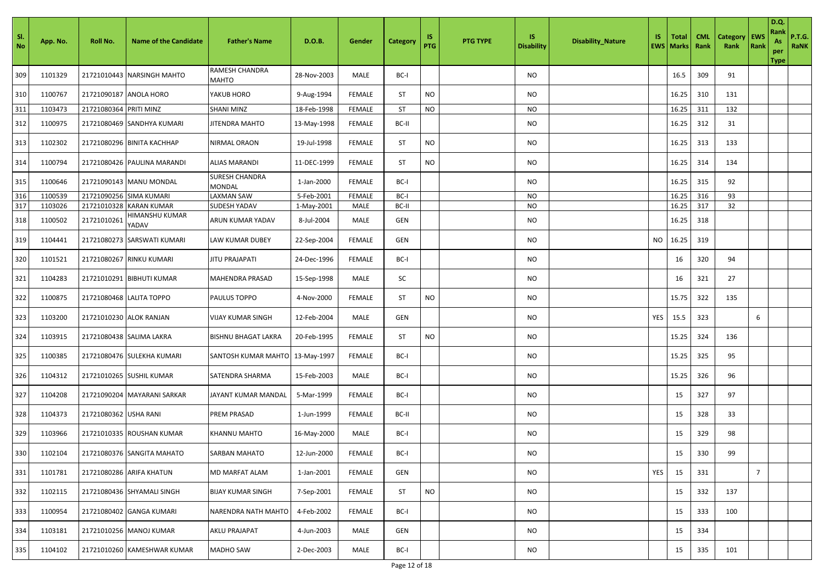| Sl.<br>No | App. No. | Roll No.                | <b>Name of the Candidate</b> | <b>Father's Name</b>            | D.O.B.      | Gender        | Category  | 1S<br><b>PTG</b> | <b>PTG TYPE</b> | IS<br><b>Disability</b> | <b>Disability_Nature</b> | IS. | <b>Total</b><br><b>EWS   Marks</b> | <b>CML</b><br>Rank | <b>Category</b><br>Rank | <b>EWS</b><br>Rank | <b>D.Q.</b><br>Rank<br>As<br>per<br><b>Type</b> | <b>P.T.G.</b><br><b>RaNK</b> |
|-----------|----------|-------------------------|------------------------------|---------------------------------|-------------|---------------|-----------|------------------|-----------------|-------------------------|--------------------------|-----|------------------------------------|--------------------|-------------------------|--------------------|-------------------------------------------------|------------------------------|
| 309       | 1101329  |                         | 21721010443 NARSINGH MAHTO   | RAMESH CHANDRA<br>MAHTO         | 28-Nov-2003 | MALE          | BC-I      |                  |                 | <b>NO</b>               |                          |     | 16.5                               | 309                | 91                      |                    |                                                 |                              |
| 310       | 1100767  | 21721090187 ANOLA HORO  |                              | YAKUB HORO                      | 9-Aug-1994  | <b>FEMALE</b> | ST        | <b>NO</b>        |                 | NO                      |                          |     | 16.25                              | 310                | 131                     |                    |                                                 |                              |
| 311       | 1103473  | 21721080364 PRITI MINZ  |                              | <b>SHANI MINZ</b>               | 18-Feb-1998 | <b>FEMALE</b> | <b>ST</b> | <b>NO</b>        |                 | <b>NO</b>               |                          |     | 16.25                              | 311                | 132                     |                    |                                                 |                              |
| 312       | 1100975  |                         | 21721080469 SANDHYA KUMARI   | JITENDRA MAHTO                  | 13-May-1998 | FEMALE        | BC-II     |                  |                 | NO                      |                          |     | 16.25                              | 312                | 31                      |                    |                                                 |                              |
| 313       | 1102302  |                         | 21721080296 BINITA KACHHAP   | NIRMAL ORAON                    | 19-Jul-1998 | <b>FEMALE</b> | <b>ST</b> | <b>NO</b>        |                 | NO                      |                          |     | 16.25                              | 313                | 133                     |                    |                                                 |                              |
| 314       | 1100794  |                         | 21721080426 PAULINA MARANDI  | <b>ALIAS MARANDI</b>            | 11-DEC-1999 | <b>FEMALE</b> | <b>ST</b> | <b>NO</b>        |                 | <b>NO</b>               |                          |     | 16.25                              | 314                | 134                     |                    |                                                 |                              |
| 315       | 1100646  |                         | 21721090143 MANU MONDAL      | <b>SURESH CHANDRA</b><br>MONDAL | 1-Jan-2000  | <b>FEMALE</b> | BC-I      |                  |                 | NO                      |                          |     | 16.25                              | 315                | 92                      |                    |                                                 |                              |
| 316       | 1100539  | 21721090256 SIMA KUMARI |                              | LAXMAN SAW                      | 5-Feb-2001  | <b>FEMALE</b> | BC-I      |                  |                 | <b>NO</b>               |                          |     | 16.25                              | 316                | 93                      |                    |                                                 |                              |
| 317       | 1103026  | 21721010328             | <b>KARAN KUMAR</b>           | SUDESH YADAV                    | 1-May-2001  | MALE          | BC-II     |                  |                 | NO                      |                          |     | 16.25                              | 317                | 32                      |                    |                                                 |                              |
| 318       | 1100502  | 21721010261             | HIMANSHU KUMAR<br>YADAV      | ARUN KUMAR YADAV                | 8-Jul-2004  | MALE          | GEN       |                  |                 | NO                      |                          |     | 16.25                              | 318                |                         |                    |                                                 |                              |
| 319       | 1104441  |                         | 21721080273 SARSWATI KUMARI  | LAW KUMAR DUBEY                 | 22-Sep-2004 | <b>FEMALE</b> | GEN       |                  |                 | <b>NO</b>               |                          | NO  | 16.25                              | 319                |                         |                    |                                                 |                              |
| 320       | 1101521  |                         | 21721080267 RINKU KUMARI     | <b>JITU PRAJAPATI</b>           | 24-Dec-1996 | <b>FEMALE</b> | BC-I      |                  |                 | NO                      |                          |     | 16                                 | 320                | 94                      |                    |                                                 |                              |
| 321       | 1104283  |                         | 21721010291 BIBHUTI KUMAR    | <b>MAHENDRA PRASAD</b>          | 15-Sep-1998 | MALE          | SC        |                  |                 | NO                      |                          |     | 16                                 | 321                | 27                      |                    |                                                 |                              |
| 322       | 1100875  |                         | 21721080468 LALITA TOPPO     | PAULUS TOPPO                    | 4-Nov-2000  | <b>FEMALE</b> | ST        | <b>NO</b>        |                 | NO                      |                          |     | 15.75                              | 322                | 135                     |                    |                                                 |                              |
| 323       | 1103200  | 21721010230 ALOK RANJAN |                              | VIJAY KUMAR SINGH               | 12-Feb-2004 | MALE          | GEN       |                  |                 | NO                      |                          | YES | 15.5                               | 323                |                         | 6                  |                                                 |                              |
| 324       | 1103915  |                         | 21721080438 SALIMA LAKRA     | <b>BISHNU BHAGAT LAKRA</b>      | 20-Feb-1995 | <b>FEMALE</b> | <b>ST</b> | <b>NO</b>        |                 | NO                      |                          |     | 15.25                              | 324                | 136                     |                    |                                                 |                              |
| 325       | 1100385  |                         | 21721080476 SULEKHA KUMARI   | SANTOSH KUMAR MAHTO             | 13-May-1997 | <b>FEMALE</b> | BC-I      |                  |                 | NO                      |                          |     | 15.25                              | 325                | 95                      |                    |                                                 |                              |
| 326       | 1104312  |                         | 21721010265 SUSHIL KUMAR     | SATENDRA SHARMA                 | 15-Feb-2003 | MALE          | BC-I      |                  |                 | <b>NO</b>               |                          |     | 15.25                              | 326                | 96                      |                    |                                                 |                              |
| 327       | 1104208  |                         | 21721090204 MAYARANI SARKAR  | JAYANT KUMAR MANDAI             | 5-Mar-1999  | <b>FEMALE</b> | BC-I      |                  |                 | NO                      |                          |     | 15                                 | 327                | 97                      |                    |                                                 |                              |
| 328       | 1104373  | 21721080362 USHA RANI   |                              | PREM PRASAD                     | 1-Jun-1999  | <b>FEMALE</b> | BC-II     |                  |                 | NO.                     |                          |     | 15                                 | 328                | 33                      |                    |                                                 |                              |
| 329       | 1103966  |                         | 21721010335 ROUSHAN KUMAR    | <b>KHANNU MAHTO</b>             | 16-May-2000 | MALE          | BC-I      |                  |                 | <b>NO</b>               |                          |     | 15                                 | 329                | 98                      |                    |                                                 |                              |
| 330       | 1102104  |                         | 21721080376 SANGITA MAHATO   | <b>SARBAN MAHATO</b>            | 12-Jun-2000 | <b>FEMALE</b> | BC-I      |                  |                 | NO                      |                          |     | 15                                 | 330                | 99                      |                    |                                                 |                              |
| 331       | 1101781  |                         | 21721080286 ARIFA KHATUN     | MD MARFAT ALAM                  | 1-Jan-2001  | <b>FEMALE</b> | GEN       |                  |                 | NO                      |                          | YES | 15                                 | 331                |                         | $\overline{7}$     |                                                 |                              |
| 332       | 1102115  |                         | 21721080436 SHYAMALI SINGH   | <b>BIJAY KUMAR SINGH</b>        | 7-Sep-2001  | <b>FEMALE</b> | ST        | <b>NO</b>        |                 | NO                      |                          |     | 15                                 | 332                | 137                     |                    |                                                 |                              |
| 333       | 1100954  |                         | 21721080402 GANGA KUMARI     | NARENDRA NATH MAHTO             | 4-Feb-2002  | <b>FEMALE</b> | BC-I      |                  |                 | NO                      |                          |     | 15                                 | 333                | 100                     |                    |                                                 |                              |
| 334       | 1103181  |                         | 21721010256 MANOJ KUMAR      | <b>AKLU PRAJAPAT</b>            | 4-Jun-2003  | MALE          | GEN       |                  |                 | NO                      |                          |     | 15                                 | 334                |                         |                    |                                                 |                              |
| 335       | 1104102  |                         | 21721010260 KAMESHWAR KUMAR  | <b>MADHO SAW</b>                | 2-Dec-2003  | MALE          | BC-I      |                  |                 | NO                      |                          |     | 15                                 | 335                | 101                     |                    |                                                 |                              |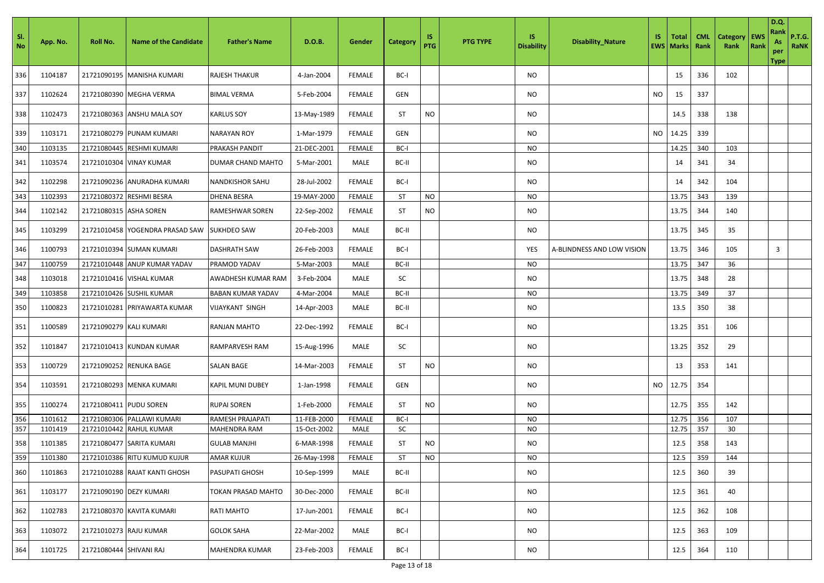| - SI.<br>No | App. No. | Roll No.                | <b>Name of the Candidate</b>    | <b>Father's Name</b>     | D.O.B.      | Gender        | Category  | 1S<br>PTG | <b>PTG TYPE</b> | IS.<br><b>Disability</b> | <b>Disability_Nature</b>   | IS. | Total<br><b>EWS   Marks</b> | <b>CML</b><br>Rank | <b>Category</b><br>Rank | <b>EWS</b><br>Rank | D.Q.<br>Rank<br>As<br>per<br>Type | <b>P.T.G.</b><br><b>RaNK</b> |
|-------------|----------|-------------------------|---------------------------------|--------------------------|-------------|---------------|-----------|-----------|-----------------|--------------------------|----------------------------|-----|-----------------------------|--------------------|-------------------------|--------------------|-----------------------------------|------------------------------|
| 336         | 1104187  |                         | 21721090195 MANISHA KUMARI      | RAJESH THAKUR            | 4-Jan-2004  | FEMALE        | BC-I      |           |                 | NO                       |                            |     | 15                          | 336                | 102                     |                    |                                   |                              |
| 337         | 1102624  |                         | 21721080390 MEGHA VERMA         | BIMAL VERMA              | 5-Feb-2004  | FEMALE        | GEN       |           |                 | NO                       |                            | NO. | 15                          | 337                |                         |                    |                                   |                              |
| 338         | 1102473  | 21721080363             | <b>ANSHU MALA SOY</b>           | KARLUS SOY               | 13-May-1989 | FEMALE        | ST        | <b>NO</b> |                 | NO.                      |                            |     | 14.5                        | 338                | 138                     |                    |                                   |                              |
| 339         | 1103171  |                         | 21721080279 PUNAM KUMARI        | <b>NARAYAN ROY</b>       | 1-Mar-1979  | FEMALE        | GEN       |           |                 | NO                       |                            | NO  | 14.25                       | 339                |                         |                    |                                   |                              |
| 340         | 1103135  |                         | 21721080445 RESHMI KUMARI       | PRAKASH PANDIT           | 21-DEC-2001 | FEMALE        | BC-I      |           |                 | NO                       |                            |     | 14.25                       | 340                | 103                     |                    |                                   |                              |
| 341         | 1103574  |                         | 21721010304 VINAY KUMAR         | DUMAR CHAND MAHTO        | 5-Mar-2001  | MALE          | BC-II     |           |                 | NO                       |                            |     | 14                          | 341                | 34                      |                    |                                   |                              |
| 342         | 1102298  |                         | 21721090236 ANURADHA KUMARI     | <b>NANDKISHOR SAHU</b>   | 28-Jul-2002 | FEMALE        | BC-I      |           |                 | <b>NO</b>                |                            |     | 14                          | 342                | 104                     |                    |                                   |                              |
| 343         | 1102393  | 21721080372             | <b>RESHMI BESRA</b>             | <b>DHENA BESRA</b>       | 19-MAY-2000 | FEMALE        | <b>ST</b> | <b>NO</b> |                 | NO                       |                            |     | 13.75                       | 343                | 139                     |                    |                                   |                              |
| 344         | 1102142  | 21721080315 ASHA SOREN  |                                 | RAMESHWAR SOREN          | 22-Sep-2002 | FEMALE        | <b>ST</b> | <b>NO</b> |                 | NO.                      |                            |     | 13.75                       | 344                | 140                     |                    |                                   |                              |
| 345         | 1103299  |                         | 21721010458 YOGENDRA PRASAD SAW | <b>SUKHDEO SAW</b>       | 20-Feb-2003 | MALE          | BC-II     |           |                 | NO.                      |                            |     | 13.75                       | 345                | 35                      |                    |                                   |                              |
| 346         | 1100793  |                         | 21721010394 SUMAN KUMARI        | <b>DASHRATH SAW</b>      | 26-Feb-2003 | <b>FEMALE</b> | BC-I      |           |                 | <b>YES</b>               | A-BLINDNESS AND LOW VISION |     | 13.75                       | 346                | 105                     |                    | 3                                 |                              |
| 347         | 1100759  |                         | 21721010448 ANUP KUMAR YADAV    | PRAMOD YADAV             | 5-Mar-2003  | MALE          | BC-II     |           |                 | NO.                      |                            |     | 13.75                       | 347                | 36                      |                    |                                   |                              |
| 348         | 1103018  |                         | 21721010416 VISHAL KUMAR        | AWADHESH KUMAR RAM       | 3-Feb-2004  | MALE          | SC        |           |                 | NO                       |                            |     | 13.75                       | 348                | 28                      |                    |                                   |                              |
| 349         | 1103858  |                         | 21721010426 SUSHIL KUMAR        | <b>BABAN KUMAR YADAV</b> | 4-Mar-2004  | MALE          | BC-II     |           |                 | <b>NO</b>                |                            |     | 13.75                       | 349                | 37                      |                    |                                   |                              |
| 350         | 1100823  | 21721010281             | PRIYAWARTA KUMAR                | /IJAYKANT SINGH          | 14-Apr-2003 | MALE          | BC-II     |           |                 | NO                       |                            |     | 13.5                        | 350                | 38                      |                    |                                   |                              |
| 351         | 1100589  | 21721090279 KALI KUMARI |                                 | RANJAN MAHTO             | 22-Dec-1992 | FEMALE        | BC-I      |           |                 | NO                       |                            |     | 13.25                       | 351                | 106                     |                    |                                   |                              |
| 352         | 1101847  |                         | 21721010413 KUNDAN KUMAR        | RAMPARVESH RAM           | 15-Aug-1996 | MALE          | SC        |           |                 | NO.                      |                            |     | 13.25                       | 352                | 29                      |                    |                                   |                              |
| 353         | 1100729  |                         | 21721090252 RENUKA BAGE         | SALAN BAGE               | 14-Mar-2003 | FEMALE        | ST        | NO.       |                 | NO                       |                            |     | 13                          | 353                | 141                     |                    |                                   |                              |
| 354         | 1103591  | 21721080293             | <b>MENKA KUMARI</b>             | <b>KAPIL MUNI DUBEY</b>  | 1-Jan-1998  | FEMALE        | GEN       |           |                 | NO                       |                            | NO. | 12.75                       | 354                |                         |                    |                                   |                              |
| 355         | 1100274  | 21721080411 PUDU SOREN  |                                 | <b>RUPAI SOREN</b>       | 1-Feb-2000  | FEMALE        | <b>ST</b> | <b>NO</b> |                 | NO.                      |                            |     | 12.75                       | 355                | 142                     |                    |                                   |                              |
| 356         | 1101612  | 21721080306             | PALLAWI KUMARI                  | RAMESH PRAJAPATI         | 11-FEB-2000 | <b>FEMALE</b> | BC-I      |           |                 | NO                       |                            |     | 12.75                       | 356                | 107                     |                    |                                   |                              |
| 357         | 1101419  |                         | 21721010442 RAHUL KUMAR         | MAHENDRA RAM             | 15-Oct-2002 | MALE          | SC        |           |                 | NO.                      |                            |     | 12.75                       | 357                | 30                      |                    |                                   |                              |
| 358         | 1101385  |                         | 21721080477 SARITA KUMARI       | <b>GULAB MANJHI</b>      | 6-MAR-1998  | FEMALE        | ST        | <b>NO</b> |                 | NO.                      |                            |     | 12.5                        | 358                | 143                     |                    |                                   |                              |
| 359         | 1101380  |                         | 21721010386 RITU KUMUD KUJUR    | <b>AMAR KUJUR</b>        | 26-May-1998 | FEMALE        | ST        | <b>NO</b> |                 | <b>NO</b>                |                            |     | 12.5                        | 359                | 144                     |                    |                                   |                              |
| 360         | 1101863  |                         | 21721010288 RAJAT KANTI GHOSH   | PASUPATI GHOSH           | 10-Sep-1999 | MALE          | BC-II     |           |                 | NO.                      |                            |     | 12.5                        | 360                | 39                      |                    |                                   |                              |
| 361         | 1103177  | 21721090190 DEZY KUMARI |                                 | TOKAN PRASAD MAHTO       | 30-Dec-2000 | FEMALE        | BC-II     |           |                 | NO                       |                            |     | 12.5                        | 361                | 40                      |                    |                                   |                              |
| 362         | 1102783  |                         | 21721080370 KAVITA KUMARI       | RATI MAHTO               | 17-Jun-2001 | FEMALE        | BC-I      |           |                 | NO                       |                            |     | 12.5                        | 362                | 108                     |                    |                                   |                              |
| 363         | 1103072  | 21721010273 RAJU KUMAR  |                                 | <b>GOLOK SAHA</b>        | 22-Mar-2002 | MALE          | BC-I      |           |                 | NO.                      |                            |     | 12.5                        | 363                | 109                     |                    |                                   |                              |
| 364         | 1101725  | 21721080444 SHIVANI RAJ |                                 | MAHENDRA KUMAR           | 23-Feb-2003 | FEMALE        | BC-I      |           |                 | NO                       |                            |     | 12.5                        | 364                | 110                     |                    |                                   |                              |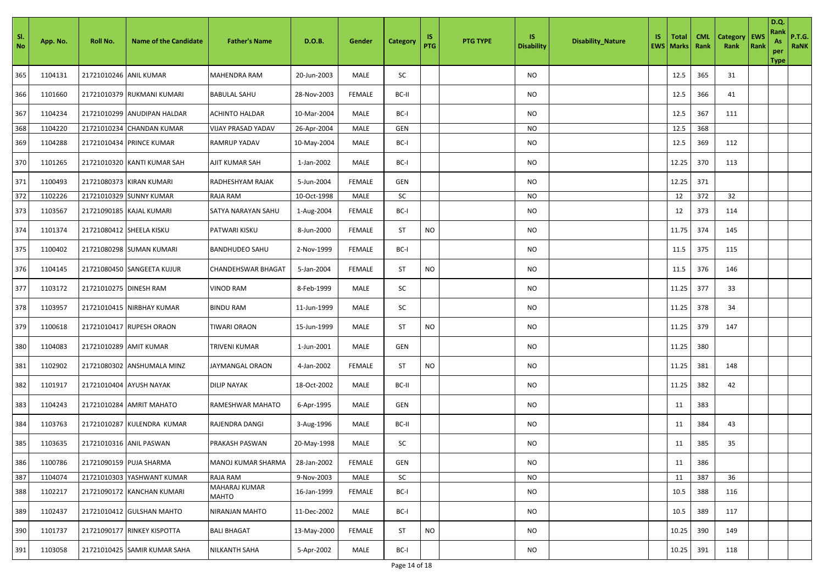| SI.<br>No | App. No. | <b>Roll No.</b>          | <b>Name of the Candidate</b> | <b>Father's Name</b>      | D.O.B.      | Gender        | Category  | 1S<br>PTG | <b>PTG TYPE</b> | IS.<br><b>Disability</b> | <b>Disability_Nature</b> | IS | Total<br><b>EWS   Marks</b> | <b>CML</b><br>Rank | <b>Category</b><br>Rank | <b>EWS</b><br>Rank | <b>D.Q.</b><br>Rank<br>As<br>per<br><b>Type</b> | <b>P.T.G.</b><br>RaNK |
|-----------|----------|--------------------------|------------------------------|---------------------------|-------------|---------------|-----------|-----------|-----------------|--------------------------|--------------------------|----|-----------------------------|--------------------|-------------------------|--------------------|-------------------------------------------------|-----------------------|
| 365       | 1104131  | 21721010246 ANIL KUMAR   |                              | <b>MAHENDRA RAM</b>       | 20-Jun-2003 | MALE          | SC        |           |                 | <b>NO</b>                |                          |    | 12.5                        | 365                | 31                      |                    |                                                 |                       |
| 366       | 1101660  |                          | 21721010379 RUKMANI KUMARI   | <b>BABULAL SAHU</b>       | 28-Nov-2003 | <b>FEMALE</b> | BC-II     |           |                 | NO                       |                          |    | 12.5                        | 366                | 41                      |                    |                                                 |                       |
| 367       | 1104234  |                          | 21721010299 ANUDIPAN HALDAR  | <b>ACHINTO HALDAR</b>     | 10-Mar-2004 | MALE          | BC-I      |           |                 | NO                       |                          |    | 12.5                        | 367                | 111                     |                    |                                                 |                       |
| 368       | 1104220  |                          | 21721010234 CHANDAN KUMAR    | <b>VIJAY PRASAD YADAV</b> | 26-Apr-2004 | MALE          | GEN       |           |                 | <b>NO</b>                |                          |    | 12.5                        | 368                |                         |                    |                                                 |                       |
| 369       | 1104288  |                          | 21721010434 PRINCE KUMAR     | <b>RAMRUP YADAV</b>       | 10-May-2004 | MALE          | BC-I      |           |                 | <b>NO</b>                |                          |    | 12.5                        | 369                | 112                     |                    |                                                 |                       |
| 370       | 1101265  |                          | 21721010320 KANTI KUMAR SAH  | AJIT KUMAR SAH            | 1-Jan-2002  | MALE          | BC-I      |           |                 | NO                       |                          |    | 12.25                       | 370                | 113                     |                    |                                                 |                       |
| 371       | 1100493  |                          | 21721080373 KIRAN KUMARI     | RADHESHYAM RAJAK          | 5-Jun-2004  | <b>FEMALE</b> | GEN       |           |                 | NO                       |                          |    | 12.25                       | 371                |                         |                    |                                                 |                       |
| 372       | 1102226  |                          | 21721010329 SUNNY KUMAR      | RAJA RAM                  | 10-Oct-1998 | MALE          | SC        |           |                 | NO                       |                          |    | 12                          | 372                | 32                      |                    |                                                 |                       |
| 373       | 1103567  |                          | 21721090185 KAJAL KUMARI     | SATYA NARAYAN SAHU        | 1-Aug-2004  | <b>FEMALE</b> | BC-I      |           |                 | NO                       |                          |    | 12                          | 373                | 114                     |                    |                                                 |                       |
| 374       | 1101374  | 21721080412 SHEELA KISKU |                              | PATWARI KISKU             | 8-Jun-2000  | <b>FEMALE</b> | ST        | <b>NO</b> |                 | NO                       |                          |    | 11.75                       | 374                | 145                     |                    |                                                 |                       |
| 375       | 1100402  |                          | 21721080298 SUMAN KUMARI     | <b>BANDHUDEO SAHU</b>     | 2-Nov-1999  | <b>FEMALE</b> | BC-I      |           |                 | NO                       |                          |    | 11.5                        | 375                | 115                     |                    |                                                 |                       |
| 376       | 1104145  |                          | 21721080450 SANGEETA KUJUR   | <b>CHANDEHSWAR BHAGAT</b> | 5-Jan-2004  | <b>FEMALE</b> | <b>ST</b> | <b>NO</b> |                 | NO.                      |                          |    | 11.5                        | 376                | 146                     |                    |                                                 |                       |
| 377       | 1103172  | 21721010275 DINESH RAM   |                              | VINOD RAM                 | 8-Feb-1999  | MALE          | SC        |           |                 | NO                       |                          |    | 11.25                       | 377                | 33                      |                    |                                                 |                       |
| 378       | 1103957  |                          | 21721010415 NIRBHAY KUMAR    | <b>BINDU RAM</b>          | 11-Jun-1999 | MALE          | SC        |           |                 | NO.                      |                          |    | 11.25                       | 378                | 34                      |                    |                                                 |                       |
| 379       | 1100618  |                          | 21721010417 RUPESH ORAON     | TIWARI ORAON              | 15-Jun-1999 | MALE          | <b>ST</b> | <b>NO</b> |                 | NO                       |                          |    | 11.25                       | 379                | 147                     |                    |                                                 |                       |
| 380       | 1104083  | 21721010289 AMIT KUMAR   |                              | TRIVENI KUMAR             | 1-Jun-2001  | MALE          | GEN       |           |                 | NO.                      |                          |    | 11.25                       | 380                |                         |                    |                                                 |                       |
| 381       | 1102902  |                          | 21721080302 ANSHUMALA MINZ   | JAYMANGAL ORAON           | 4-Jan-2002  | <b>FEMALE</b> | ST        | <b>NO</b> |                 | NO                       |                          |    | 11.25                       | 381                | 148                     |                    |                                                 |                       |
| 382       | 1101917  |                          | 21721010404 AYUSH NAYAK      | <b>DILIP NAYAK</b>        | 18-Oct-2002 | MALE          | BC-II     |           |                 | NO                       |                          |    | 11.25                       | 382                | 42                      |                    |                                                 |                       |
| 383       | 1104243  |                          | 21721010284 AMRIT MAHATO     | RAMESHWAR MAHATO          | 6-Apr-1995  | MALE          | GEN       |           |                 | NO                       |                          |    | 11                          | 383                |                         |                    |                                                 |                       |
| 384       | 1103763  |                          | 21721010287 KULENDRA KUMAR   | RAJENDRA DANGI            | 3-Aug-1996  | MALE          | BC-II     |           |                 | <b>NO</b>                |                          |    | 11                          | 384                | 43                      |                    |                                                 |                       |
| 385       | 1103635  |                          | 21721010316 ANIL PASWAN      | PRAKASH PASWAN            | 20-May-1998 | MALE          | SC        |           |                 | NO                       |                          |    | 11                          | 385                | 35                      |                    |                                                 |                       |
| 386       | 1100786  |                          | 21721090159 PUJA SHARMA      | MANOJ KUMAR SHARMA        | 28-Jan-2002 | <b>FEMALE</b> | GEN       |           |                 | <b>NO</b>                |                          |    | 11                          | 386                |                         |                    |                                                 |                       |
| 387       | 1104074  |                          | 21721010303 YASHWANT KUMAR   | RAJA RAM                  | 9-Nov-2003  | MALE          | SC        |           |                 | $NO$                     |                          |    | 11                          | 387                | 36                      |                    |                                                 |                       |
| 388       | 1102217  |                          | 21721090172 KANCHAN KUMARI   | MAHARAJ KUMAR<br>MAHTO    | 16-Jan-1999 | <b>FEMALE</b> | BC-I      |           |                 | <b>NO</b>                |                          |    | 10.5                        | 388                | 116                     |                    |                                                 |                       |
| 389       | 1102437  |                          | 21721010412 GULSHAN MAHTO    | NIRANJAN MAHTO            | 11-Dec-2002 | MALE          | BC-I      |           |                 | NO.                      |                          |    | 10.5                        | 389                | 117                     |                    |                                                 |                       |
| 390       | 1101737  |                          | 21721090177 RINKEY KISPOTTA  | <b>BALI BHAGAT</b>        | 13-May-2000 | <b>FEMALE</b> | <b>ST</b> | <b>NO</b> |                 | NO.                      |                          |    | 10.25                       | 390                | 149                     |                    |                                                 |                       |
| 391       | 1103058  |                          | 21721010425 SAMIR KUMAR SAHA | NILKANTH SAHA             | 5-Apr-2002  | MALE          | BC-I      |           |                 | NO                       |                          |    | 10.25                       | 391                | 118                     |                    |                                                 |                       |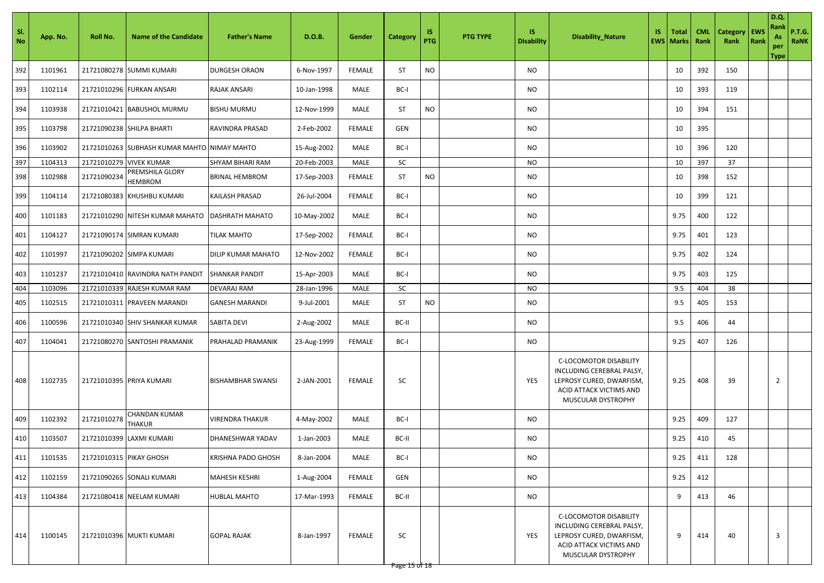| SI.<br>N <sub>o</sub> | App. No. | Roll No.                | <b>Name of the Candidate</b>                | <b>Father's Name</b>      | D.O.B.      | Gender        | Category  | 1S<br>PTG | <b>PTG TYPE</b> | IS.<br><b>Disability</b> | <b>Disability_Nature</b>                                                                                                         | IS. | <b>Total</b><br><b>EWS</b> Marks | <b>CML</b><br>Rank | <b>Category</b><br>Rank | <b>EWS</b><br>Rank | D.Q.<br>Rank<br>As<br>per<br>Type | <b>P.T.G.</b><br><b>RaNK</b> |
|-----------------------|----------|-------------------------|---------------------------------------------|---------------------------|-------------|---------------|-----------|-----------|-----------------|--------------------------|----------------------------------------------------------------------------------------------------------------------------------|-----|----------------------------------|--------------------|-------------------------|--------------------|-----------------------------------|------------------------------|
| 392                   | 1101961  |                         | 21721080278 SUMMI KUMARI                    | <b>DURGESH ORAON</b>      | 6-Nov-1997  | <b>FEMALE</b> | <b>ST</b> | <b>NO</b> |                 | NO                       |                                                                                                                                  |     | 10                               | 392                | 150                     |                    |                                   |                              |
| 393                   | 1102114  |                         | 21721010296 FURKAN ANSARI                   | <b>RAJAK ANSARI</b>       | 10-Jan-1998 | MALE          | BC-I      |           |                 | NO                       |                                                                                                                                  |     | 10                               | 393                | 119                     |                    |                                   |                              |
| 394                   | 1103938  |                         | 21721010421 BABUSHOL MURMU                  | <b>BISHU MURMU</b>        | 12-Nov-1999 | MALE          | <b>ST</b> | <b>NO</b> |                 | NO                       |                                                                                                                                  |     | 10                               | 394                | 151                     |                    |                                   |                              |
| 395                   | 1103798  |                         | 21721090238 SHILPA BHARTI                   | <b>RAVINDRA PRASAD</b>    | 2-Feb-2002  | <b>FEMALE</b> | GEN       |           |                 | NO                       |                                                                                                                                  |     | 10                               | 395                |                         |                    |                                   |                              |
| 396                   | 1103902  |                         | 21721010263 SUBHASH KUMAR MAHTO NIMAY MAHTO |                           | 15-Aug-2002 | MALE          | BC-I      |           |                 | NO                       |                                                                                                                                  |     | 10                               | 396                | 120                     |                    |                                   |                              |
| 397                   | 1104313  | 21721010279             | <b>VIVEK KUMAR</b>                          | SHYAM BIHARI RAM          | 20-Feb-2003 | MALE          | SC        |           |                 | NO                       |                                                                                                                                  |     | 10                               | 397                | 37                      |                    |                                   |                              |
| 398                   | 1102988  | 21721090234             | PREMSHILA GLORY<br><b>HEMBROM</b>           | <b>BRINAL HEMBROM</b>     | 17-Sep-2003 | <b>FEMALE</b> | <b>ST</b> | <b>NO</b> |                 | NO                       |                                                                                                                                  |     | 10                               | 398                | 152                     |                    |                                   |                              |
| 399                   | 1104114  | 21721080383             | KHUSHBU KUMARI                              | KAILASH PRASAD            | 26-Jul-2004 | <b>FEMALE</b> | BC-I      |           |                 | NO                       |                                                                                                                                  |     | 10                               | 399                | 121                     |                    |                                   |                              |
| 400                   | 1101183  |                         | 21721010290 NITESH KUMAR MAHATO             | <b>DASHRATH MAHATO</b>    | 10-May-2002 | MALE          | BC-I      |           |                 | NO                       |                                                                                                                                  |     | 9.75                             | 400                | 122                     |                    |                                   |                              |
| 401                   | 1104127  |                         | 21721090174 SIMRAN KUMARI                   | <b>TILAK MAHTO</b>        | 17-Sep-2002 | <b>FEMALE</b> | BC-I      |           |                 | NO                       |                                                                                                                                  |     | 9.75                             | 401                | 123                     |                    |                                   |                              |
| 402                   | 1101997  |                         | 21721090202 SIMPA KUMARI                    | <b>DILIP KUMAR MAHATO</b> | 12-Nov-2002 | <b>FEMALE</b> | BC-I      |           |                 | NO                       |                                                                                                                                  |     | 9.75                             | 402                | 124                     |                    |                                   |                              |
| 403                   | 1101237  |                         | 21721010410 RAVINDRA NATH PANDIT            | <b>SHANKAR PANDIT</b>     | 15-Apr-2003 | MALE          | BC-I      |           |                 | NO                       |                                                                                                                                  |     | 9.75                             | 403                | 125                     |                    |                                   |                              |
| 404                   | 1103096  |                         | 21721010339 RAJESH KUMAR RAM                | <b>DEVARAJ RAM</b>        | 28-Jan-1996 | MALE          | SC        |           |                 | NO                       |                                                                                                                                  |     | 9.5                              | 404                | 38                      |                    |                                   |                              |
| 405                   | 1102515  |                         | 21721010311 PRAVEEN MARANDI                 | <b>GANESH MARANDI</b>     | 9-Jul-2001  | MALE          | <b>ST</b> | <b>NO</b> |                 | NO                       |                                                                                                                                  |     | 9.5                              | 405                | 153                     |                    |                                   |                              |
| 406                   | 1100596  |                         | 21721010340 SHIV SHANKAR KUMAR              | <b>SABITA DEVI</b>        | 2-Aug-2002  | MALE          | BC-II     |           |                 | NO                       |                                                                                                                                  |     | 9.5                              | 406                | 44                      |                    |                                   |                              |
| 407                   | 1104041  |                         | 21721080270 SANTOSHI PRAMANIK               | PRAHALAD PRAMANIK         | 23-Aug-1999 | <b>FEMALE</b> | BC-I      |           |                 | NO                       |                                                                                                                                  |     | 9.25                             | 407                | 126                     |                    |                                   |                              |
| 408                   | 1102735  |                         | 21721010395 PRIYA KUMARI                    | <b>BISHAMBHAR SWANSI</b>  | 2-JAN-2001  | <b>FEMALE</b> | SC        |           |                 | YES                      | C-LOCOMOTOR DISABILITY<br>INCLUDING CEREBRAL PALSY,<br>LEPROSY CURED, DWARFISM,<br>ACID ATTACK VICTIMS AND<br>MUSCULAR DYSTROPHY |     | 9.25                             | 408                | 39                      |                    | $\overline{2}$                    |                              |
| 409                   | 1102392  | 21721010278             | CHANDAN KUMAR<br><b>THAKUR</b>              | <b>VIRENDRA THAKUR</b>    | 4-May-2002  | MALE          | BC-I      |           |                 | NO                       |                                                                                                                                  |     | 9.25                             | 409                | 127                     |                    |                                   |                              |
| 410                   | 1103507  | 21721010399             | LAXMI KUMARI                                | <b>DHANESHWAR YADAV</b>   | 1-Jan-2003  | MALE          | BC-II     |           |                 | NO                       |                                                                                                                                  |     | 9.25                             | 410                | 45                      |                    |                                   |                              |
| 411                   | 1101535  | 21721010315 PIKAY GHOSH |                                             | <b>KRISHNA PADO GHOSH</b> | 8-Jan-2004  | MALE          | BC-I      |           |                 | <b>NO</b>                |                                                                                                                                  |     | 9.25                             | 411                | 128                     |                    |                                   |                              |
| 412                   | 1102159  |                         | 21721090265 SONALI KUMARI                   | <b>MAHESH KESHRI</b>      | 1-Aug-2004  | FEMALE        | GEN       |           |                 | <b>NO</b>                |                                                                                                                                  |     | 9.25                             | 412                |                         |                    |                                   |                              |
| 413                   | 1104384  |                         | 21721080418 NEELAM KUMARI                   | <b>HUBLAL MAHTO</b>       | 17-Mar-1993 | <b>FEMALE</b> | BC-II     |           |                 | NO                       |                                                                                                                                  |     | 9                                | 413                | 46                      |                    |                                   |                              |
| 414                   | 1100145  |                         | 21721010396 MUKTI KUMARI                    | <b>GOPAL RAJAK</b>        | 8-Jan-1997  | FEMALE        | SC        |           |                 | YES                      | C-LOCOMOTOR DISABILITY<br>INCLUDING CEREBRAL PALSY,<br>LEPROSY CURED, DWARFISM,<br>ACID ATTACK VICTIMS AND<br>MUSCULAR DYSTROPHY |     | 9                                | 414                | 40                      |                    | $\overline{3}$                    |                              |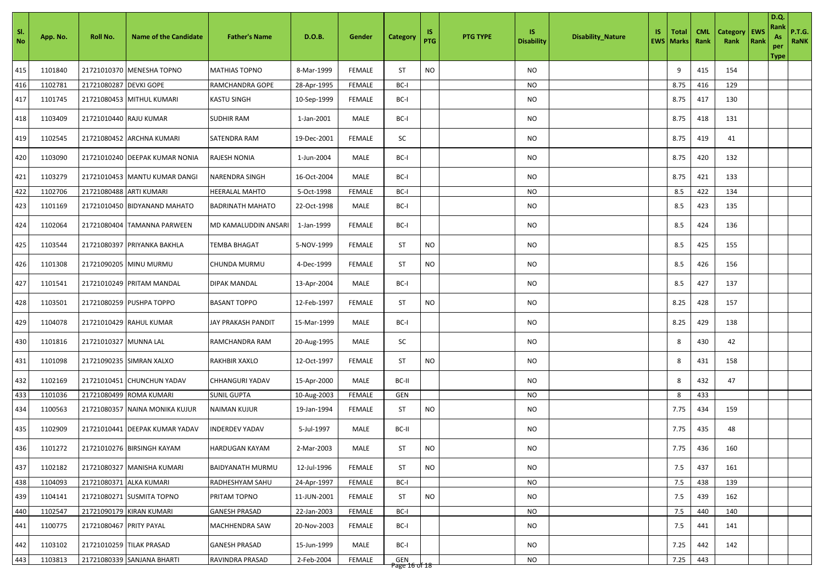| SI.<br><b>No</b> | App. No. | Roll No.                | <b>Name of the Candidate</b>   | <b>Father's Name</b>    | D.O.B.      | Gender        | <b>Category</b> | 1S<br><b>PTG</b> | <b>PTG TYPE</b> | IS.<br><b>Disability</b> | <b>Disability_Nature</b> | IS. | <b>Total</b><br><b>EWS Marks</b> | <b>CML</b><br>Rank | Category<br>Rank | <b>EWS</b><br>Rank | <b>D.Q.</b><br>Rank<br>As<br>per<br>Type | <b>P.T.G.</b><br>RaNK |
|------------------|----------|-------------------------|--------------------------------|-------------------------|-------------|---------------|-----------------|------------------|-----------------|--------------------------|--------------------------|-----|----------------------------------|--------------------|------------------|--------------------|------------------------------------------|-----------------------|
| 415              | 1101840  |                         | 21721010370 MENESHA TOPNO      | <b>MATHIAS TOPNO</b>    | 8-Mar-1999  | <b>FEMALE</b> | <b>ST</b>       | <b>NO</b>        |                 | NO                       |                          |     | 9                                | 415                | 154              |                    |                                          |                       |
| 416              | 1102781  | 21721080287 DEVKI GOPE  |                                | RAMCHANDRA GOPE         | 28-Apr-1995 | <b>FEMALE</b> | BC-I            |                  |                 | NO                       |                          |     | 8.75                             | 416                | 129              |                    |                                          |                       |
| 417              | 1101745  |                         | 21721080453 MITHUL KUMARI      | <b>KASTU SINGH</b>      | 10-Sep-1999 | <b>FEMALE</b> | BC-I            |                  |                 | NO                       |                          |     | 8.75                             | 417                | 130              |                    |                                          |                       |
| 418              | 1103409  | 21721010440 RAJU KUMAR  |                                | <b>SUDHIR RAM</b>       | 1-Jan-2001  | MALE          | BC-I            |                  |                 | NO                       |                          |     | 8.75                             | 418                | 131              |                    |                                          |                       |
| 419              | 1102545  |                         | 21721080452 ARCHNA KUMARI      | <b>SATENDRA RAM</b>     | 19-Dec-2001 | <b>FEMALE</b> | SC              |                  |                 | NO                       |                          |     | 8.75                             | 419                | 41               |                    |                                          |                       |
| 420              | 1103090  |                         | 21721010240 DEEPAK KUMAR NONIA | <b>RAJESH NONIA</b>     | 1-Jun-2004  | MALE          | BC-I            |                  |                 | <b>NO</b>                |                          |     | 8.75                             | 420                | 132              |                    |                                          |                       |
| 421              | 1103279  |                         | 21721010453 MANTU KUMAR DANGI  | NARENDRA SINGH          | 16-Oct-2004 | MALE          | BC-I            |                  |                 | NO                       |                          |     | 8.75                             | 421                | 133              |                    |                                          |                       |
| 422              | 1102706  | 21721080488 ARTI KUMARI |                                | HEERALAL MAHTO          | 5-Oct-1998  | <b>FEMALE</b> | BC-I            |                  |                 | <b>NO</b>                |                          |     | 8.5                              | 422                | 134              |                    |                                          |                       |
| 423              | 1101169  |                         | 21721010450 BIDYANAND MAHATO   | <b>BADRINATH MAHATO</b> | 22-Oct-1998 | MALE          | BC-I            |                  |                 | NO                       |                          |     | 8.5                              | 423                | 135              |                    |                                          |                       |
| 424              | 1102064  |                         | 21721080404 TAMANNA PARWEEN    | MD KAMALUDDIN ANSARI    | 1-Jan-1999  | <b>FEMALE</b> | BC-I            |                  |                 | NO                       |                          |     | 8.5                              | 424                | 136              |                    |                                          |                       |
| 425              | 1103544  |                         | 21721080397 PRIYANKA BAKHLA    | <b>TEMBA BHAGAT</b>     | 5-NOV-1999  | <b>FEMALE</b> | <b>ST</b>       | <b>NO</b>        |                 | NO                       |                          |     | 8.5                              | 425                | 155              |                    |                                          |                       |
| 426              | 1101308  |                         | 21721090205 MINU MURMU         | CHUNDA MURMU            | 4-Dec-1999  | <b>FEMALE</b> | <b>ST</b>       | <b>NO</b>        |                 | NO                       |                          |     | 8.5                              | 426                | 156              |                    |                                          |                       |
| 427              | 1101541  |                         | 21721010249 PRITAM MANDAL      | <b>DIPAK MANDAL</b>     | 13-Apr-2004 | MALE          | BC-I            |                  |                 | NO                       |                          |     | 8.5                              | 427                | 137              |                    |                                          |                       |
| 428              | 1103501  |                         | 21721080259 PUSHPA TOPPO       | <b>BASANT TOPPO</b>     | 12-Feb-1997 | <b>FEMALE</b> | <b>ST</b>       | <b>NO</b>        |                 | NO                       |                          |     | 8.25                             | 428                | 157              |                    |                                          |                       |
| 429              | 1104078  |                         | 21721010429 RAHUL KUMAR        | JAY PRAKASH PANDIT      | 15-Mar-1999 | MALE          | BC-I            |                  |                 | NO                       |                          |     | 8.25                             | 429                | 138              |                    |                                          |                       |
| 430              | 1101816  | 21721010327 MUNNA LAL   |                                | RAMCHANDRA RAM          | 20-Aug-1995 | MALE          | SC              |                  |                 | NO                       |                          |     | 8                                | 430                | 42               |                    |                                          |                       |
| 431              | 1101098  |                         | 21721090235 SIMRAN XALXO       | <b>RAKHBIR XAXLO</b>    | 12-Oct-1997 | <b>FEMALE</b> | <b>ST</b>       | <b>NO</b>        |                 | NO                       |                          |     | 8                                | 431                | 158              |                    |                                          |                       |
| 432              | 1102169  |                         | 21721010451 CHUNCHUN YADAV     | <b>CHHANGURI YADAV</b>  | 15-Apr-2000 | MALE          | BC-II           |                  |                 | <b>NO</b>                |                          |     | 8                                | 432                | 47               |                    |                                          |                       |
| 433              | 1101036  | 21721080499             | <b>ROMA KUMARI</b>             | <b>SUNIL GUPTA</b>      | 10-Aug-2003 | <b>FEMALE</b> | GEN             |                  |                 | NO                       |                          |     | 8                                | 433                |                  |                    |                                          |                       |
| 434              | 1100563  | 21721080357             | NAINA MONIKA KUJUR             | <b>NAIMAN KUJUR</b>     | 19-Jan-1994 | <b>FEMALE</b> | <b>ST</b>       | <b>NO</b>        |                 | NO                       |                          |     | 7.75                             | 434                | 159              |                    |                                          |                       |
| 435              | 1102909  |                         | 21721010441 DEEPAK KUMAR YADAV | <b>INDERDEV YADAV</b>   | 5-Jul-1997  | MALE          | BC-II           |                  |                 | NO                       |                          |     | 7.75                             | 435                | 48               |                    |                                          |                       |
| 436              | 1101272  |                         | 21721010276 BIRSINGH KAYAM     | <b>HARDUGAN KAYAM</b>   | 2-Mar-2003  | MALE          | ST              | <b>NO</b>        |                 | <b>NO</b>                |                          |     | 7.75                             | 436                | 160              |                    |                                          |                       |
| 437              | 1102182  |                         | 21721080327 MANISHA KUMARI     | <b>BAIDYANATH MURMU</b> | 12-Jul-1996 | <b>FEMALE</b> | ST              | <b>NO</b>        |                 | NO                       |                          |     | 7.5                              | 437                | 161              |                    |                                          |                       |
| 438              | 1104093  | 21721080371             | <b>ALKA KUMARI</b>             | RADHESHYAM SAHU         | 24-Apr-1997 | <b>FEMALE</b> | BC-I            |                  |                 | NO                       |                          |     | 7.5                              | 438                | 139              |                    |                                          |                       |
| 439              | 1104141  |                         | 21721080271 SUSMITA TOPNO      | PRITAM TOPNO            | 11-JUN-2001 | <b>FEMALE</b> | ST              | <b>NO</b>        |                 | NO                       |                          |     | 7.5                              | 439                | 162              |                    |                                          |                       |
| 440              | 1102547  |                         | 21721090179 KIRAN KUMARI       | <b>GANESH PRASAD</b>    | 22-Jan-2003 | <b>FEMALE</b> | BC-I            |                  |                 | NO                       |                          |     | 7.5                              | 440                | 140              |                    |                                          |                       |
| 441              | 1100775  | 21721080467 PRITY PAYAL |                                | <b>MACHHENDRA SAW</b>   | 20-Nov-2003 | <b>FEMALE</b> | BC-I            |                  |                 | NO                       |                          |     | 7.5                              | 441                | 141              |                    |                                          |                       |
| 442              | 1103102  |                         | 21721010259 TILAK PRASAD       | <b>GANESH PRASAD</b>    | 15-Jun-1999 | MALE          | BC-I            |                  |                 | NO                       |                          |     | 7.25                             | 442                | 142              |                    |                                          |                       |
| 443              | 1103813  |                         | 21721080339 SANJANA BHARTI     | RAVINDRA PRASAD         | 2-Feb-2004  | <b>FEMALE</b> | GEN             |                  |                 | NO                       |                          |     | 7.25                             | 443                |                  |                    |                                          |                       |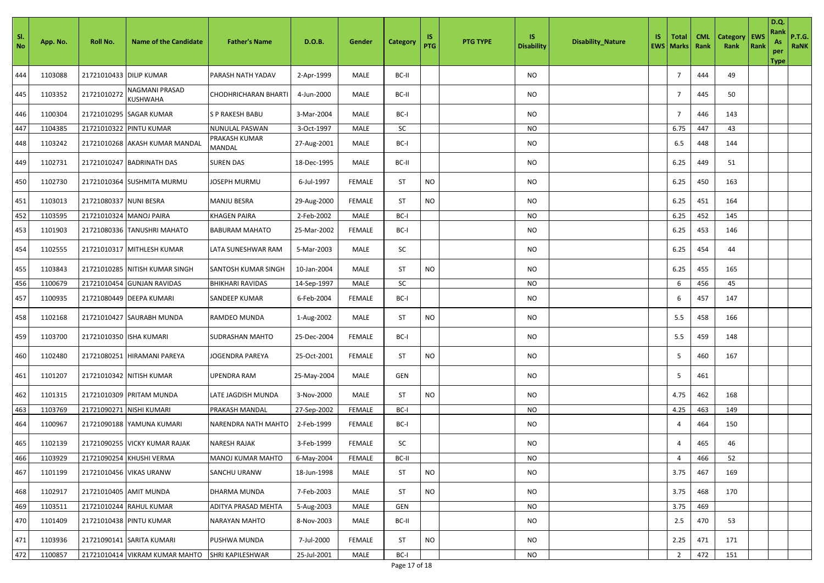| - SI.<br><b>No</b> | App. No. | Roll No.                | <b>Name of the Candidate</b>   | <b>Father's Name</b>           | D.O.B.         | Gender        | <b>Category</b> | 1S<br><b>PTG</b> | <b>PTG TYPE</b> | <b>IS</b><br><b>Disability</b> | <b>Disability_Nature</b> | IS. | <b>Total</b><br><b>EWS   Marks</b> | <b>CML</b><br>Rank | Category<br>Rank | <b>EWS</b><br>Rank | <b>D.Q.</b><br>Rank<br>As<br>per<br><b>Type</b> | <b>P.T.G.</b><br><b>RaNK</b> |
|--------------------|----------|-------------------------|--------------------------------|--------------------------------|----------------|---------------|-----------------|------------------|-----------------|--------------------------------|--------------------------|-----|------------------------------------|--------------------|------------------|--------------------|-------------------------------------------------|------------------------------|
| 444                | 1103088  | 21721010433 DILIP KUMAR |                                | PARASH NATH YADAV              | 2-Apr-1999     | MALE          | BC-II           |                  |                 | NO                             |                          |     | 7                                  | 444                | 49               |                    |                                                 |                              |
| 445                | 1103352  | 21721010272             | NAGMANI PRASAD<br>KUSHWAHA     | CHODHRICHARAN BHARTI           | 4-Jun-2000     | MALE          | BC-II           |                  |                 | NO                             |                          |     | 7                                  | 445                | 50               |                    |                                                 |                              |
| 446                | 1100304  |                         | 21721010295 SAGAR KUMAR        | S P RAKESH BABU                | 3-Mar-2004     | MALE          | BC-I            |                  |                 | NO                             |                          |     | $\overline{7}$                     | 446                | 143              |                    |                                                 |                              |
| 447                | 1104385  |                         | 21721010322 PINTU KUMAR        | NUNULAL PASWAN                 | 3-Oct-1997     | MALE          | SC              |                  |                 | NO                             |                          |     | 6.75                               | 447                | 43               |                    |                                                 |                              |
| 448                | 1103242  |                         | 21721010268 AKASH KUMAR MANDAL | PRAKASH KUMAR<br><b>MANDAL</b> | 27-Aug-2001    | MALE          | BC-I            |                  |                 | <b>NO</b>                      |                          |     | 6.5                                | 448                | 144              |                    |                                                 |                              |
| 449                | 1102731  |                         | 21721010247 BADRINATH DAS      | <b>SUREN DAS</b>               | 18-Dec-1995    | MALE          | BC-II           |                  |                 | NO                             |                          |     | 6.25                               | 449                | 51               |                    |                                                 |                              |
| 450                | 1102730  |                         | 21721010364 SUSHMITA MURMU     | JOSEPH MURMU                   | 6-Jul-1997     | <b>FEMALE</b> | <b>ST</b>       | <b>NO</b>        |                 | <b>NO</b>                      |                          |     | 6.25                               | 450                | 163              |                    |                                                 |                              |
| 451                | 1103013  | 21721080337 NUNI BESRA  |                                | MANJU BESRA                    | 29-Aug-2000    | <b>FEMALE</b> | ST              | <b>NO</b>        |                 | <b>NO</b>                      |                          |     | 6.25                               | 451                | 164              |                    |                                                 |                              |
| 452                | 1103595  | 21721010324 MANOJ PAIRA |                                | <b>KHAGEN PAIRA</b>            | 2-Feb-2002     | MALE          | BC-I            |                  |                 | <b>NO</b>                      |                          |     | 6.25                               | 452                | 145              |                    |                                                 |                              |
| 453                | 1101903  |                         | 21721080336 TANUSHRI MAHATO    | <b>BABURAM MAHATO</b>          | 25-Mar-2002    | <b>FEMALE</b> | BC-I            |                  |                 | NO                             |                          |     | 6.25                               | 453                | 146              |                    |                                                 |                              |
| 454                | 1102555  |                         | 21721010317 MITHLESH KUMAR     | LATA SUNESHWAR RAM             | 5-Mar-2003     | MALE          | SC              |                  |                 | NO                             |                          |     | 6.25                               | 454                | 44               |                    |                                                 |                              |
| 455                | 1103843  |                         | 21721010285 NITISH KUMAR SINGH | SANTOSH KUMAR SINGH            | 10-Jan-2004    | MALE          | ST              | <b>NO</b>        |                 | NO                             |                          |     | 6.25                               | 455                | 165              |                    |                                                 |                              |
| 456                | 1100679  | 21721010454             | <b>GUNJAN RAVIDAS</b>          | BHIKHARI RAVIDAS               | 14-Sep-1997    | MALE          | SC              |                  |                 | <b>NO</b>                      |                          |     | 6                                  | 456                | 45               |                    |                                                 |                              |
| 457                | 1100935  |                         | 21721080449 DEEPA KUMARI       | SANDEEP KUMAR                  | 6-Feb-2004     | <b>FEMALE</b> | BC-I            |                  |                 | <b>NO</b>                      |                          |     | 6                                  | 457                | 147              |                    |                                                 |                              |
| 458                | 1102168  |                         | 21721010427 SAURABH MUNDA      | RAMDEO MUNDA                   | 1-Aug-2002     | MALE          | ST              | <b>NO</b>        |                 | <b>NO</b>                      |                          |     | 5.5                                | 458                | 166              |                    |                                                 |                              |
| 459                | 1103700  | 21721010350 ISHA KUMARI |                                | SUDRASHAN MAHTO                | 25-Dec-2004    | <b>FEMALE</b> | BC-I            |                  |                 | <b>NO</b>                      |                          |     | 5.5                                | 459                | 148              |                    |                                                 |                              |
| 460                | 1102480  |                         | 21721080251 HIRAMANI PAREYA    | IOGENDRA PAREYA                | 25-Oct-2001    | <b>FEMALE</b> | <b>ST</b>       | <b>NO</b>        |                 | <b>NO</b>                      |                          |     | 5                                  | 460                | 167              |                    |                                                 |                              |
| 461                | 1101207  |                         | 21721010342 NITISH KUMAR       | UPENDRA RAM                    | 25-May-2004    | MALE          | <b>GEN</b>      |                  |                 | <b>NO</b>                      |                          |     | 5                                  | 461                |                  |                    |                                                 |                              |
| 462                | 1101315  |                         | 21721010309 PRITAM MUNDA       | ATE JAGDISH MUNDA.             | 3-Nov-2000     | MALE          | ST              | <b>NO</b>        |                 | ΝO                             |                          |     | 4.75                               | 462                | 168              |                    |                                                 |                              |
| 463                | 1103769  |                         | 21721090271 NISHI KUMARI       | PRAKASH MANDAL                 | 27-Sep-2002    | <b>FEMALE</b> | BC-I            |                  |                 | NO                             |                          |     | 4.25                               | 463                | 149              |                    |                                                 |                              |
| 464                | 1100967  |                         | 21721090188 YAMUNA KUMARI      | NARENDRA NATH MAHTO            | 2-Feb-1999     | <b>FEMALE</b> | BC-I            |                  |                 | NO                             |                          |     | 4                                  | 464                | 150              |                    |                                                 |                              |
| 465                | 1102139  |                         | 21721090255 VICKY KUMAR RAJAK  | NARESH RAJAK                   | 3-Feb-1999     | <b>FEMALE</b> | SC              |                  |                 | NO                             |                          |     | 4                                  | 465                | 46               |                    |                                                 |                              |
| 466                | 1103929  |                         | 21721090254 KHUSHI VERMA       | MANOJ KUMAR MAHTO              | $6 - May-2004$ | FEMALE        | BC-II           |                  |                 | <b>NO</b>                      |                          |     | $\overline{4}$                     | 466                | 52               |                    |                                                 |                              |
| 467                | 1101199  |                         | 21721010456 VIKAS URANW        | SANCHU URANW                   | 18-Jun-1998    | MALE          | <b>ST</b>       | <b>NO</b>        |                 | <b>NO</b>                      |                          |     | 3.75                               | 467                | 169              |                    |                                                 |                              |
| 468                | 1102917  | 21721010405 AMIT MUNDA  |                                | DHARMA MUNDA                   | 7-Feb-2003     | MALE          | ST              | <b>NO</b>        |                 | NO                             |                          |     | 3.75                               | 468                | 170              |                    |                                                 |                              |
| 469                | 1103511  |                         | 21721010244 RAHUL KUMAR        | ADITYA PRASAD MEHTA            | 5-Aug-2003     | MALE          | GEN             |                  |                 | NO                             |                          |     | 3.75                               | 469                |                  |                    |                                                 |                              |
| 470                | 1101409  |                         | 21721010438 PINTU KUMAR        | NARAYAN MAHTO                  | 8-Nov-2003     | MALE          | BC-II           |                  |                 | NO                             |                          |     | 2.5                                | 470                | 53               |                    |                                                 |                              |
| 471                | 1103936  |                         | 21721090141 SARITA KUMARI      | PUSHWA MUNDA                   | 7-Jul-2000     | <b>FEMALE</b> | ST              | <b>NO</b>        |                 | NO                             |                          |     | 2.25                               | 471                | 171              |                    |                                                 |                              |
| 472                | 1100857  |                         | 21721010414 VIKRAM KUMAR MAHTO | <b>SHRI KAPILESHWAR</b>        | 25-Jul-2001    | MALE          | BC-I            |                  |                 | NO                             |                          |     | $\overline{2}$                     | 472                | 151              |                    |                                                 |                              |